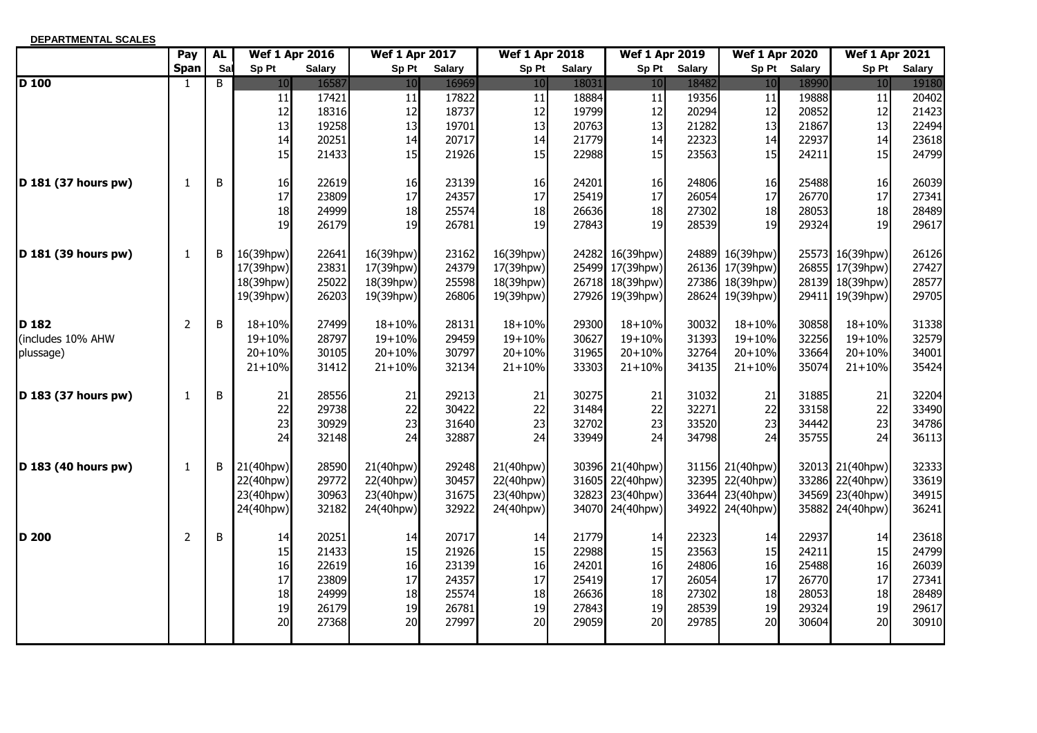| DEPARTMENTAL SCALES |                |           |                       |               |                       |               |                       |               |                       |               |                       |               |                       |               |
|---------------------|----------------|-----------|-----------------------|---------------|-----------------------|---------------|-----------------------|---------------|-----------------------|---------------|-----------------------|---------------|-----------------------|---------------|
|                     | Pay            | <b>AL</b> | <b>Wef 1 Apr 2016</b> |               | <b>Wef 1 Apr 2017</b> |               | <b>Wef 1 Apr 2018</b> |               | <b>Wef 1 Apr 2019</b> |               | <b>Wef 1 Apr 2020</b> |               | <b>Wef 1 Apr 2021</b> |               |
|                     | <b>Span</b>    | Sal       | Sp Pt                 | <b>Salary</b> | Sp Pt                 | <b>Salary</b> | Sp Pt                 | <b>Salary</b> | Sp Pt                 | <b>Salary</b> | Sp Pt                 | <b>Salary</b> | Sp Pt                 | <b>Salary</b> |
| $D$ 100             | $\mathbf{1}$   | B         | 10                    | 16587         | 10                    | 16969         | 10                    | 18031         | 10                    | 18482         | 10                    | 18990         | 10                    | 19180         |
|                     |                |           | 11                    | 17421         | $11\,$                | 17822         | 11                    | 18884         | 11                    | 19356         | 11                    | 19888         | 11                    | 20402         |
|                     |                |           | 12                    | 18316         | 12                    | 18737         | 12                    | 19799         | 12                    | 20294         | 12                    | 20852         | 12                    | 21423         |
|                     |                |           | 13                    | 19258         | 13                    | 19701         | 13                    | 20763         | 13                    | 21282         | 13                    | 21867         | 13                    | 22494         |
|                     |                |           | 14                    | 20251         | 14                    | 20717         | 14                    | 21779         | 14                    | 22323         | 14                    | 22937         | 14                    | 23618         |
|                     |                |           | 15                    | 21433         | 15                    | 21926         | 15                    | 22988         | 15                    | 23563         | 15                    | 24211         | 15                    | 24799         |
| D 181 (37 hours pw) | 1              | B         | 16                    | 22619         | 16                    | 23139         | 16                    | 24201         | 16                    | 24806         | 16                    | 25488         | 16                    | 26039         |
|                     |                |           | 17                    | 23809         | 17                    | 24357         | 17                    | 25419         | 17                    | 26054         | 17                    | 26770         | 17                    | 27341         |
|                     |                |           | 18                    | 24999         | 18                    | 25574         | 18                    | 26636         | 18                    | 27302         | 18                    | 28053         | 18                    | 28489         |
|                     |                |           | 19                    | 26179         | 19                    | 26781         | 19                    | 27843         | 19                    | 28539         | 19                    | 29324         | 19                    | 29617         |
| D 181 (39 hours pw) | 1              | B         | 16(39hpw)             | 22641         | 16(39hpw)             | 23162         | 16(39hpw)             |               | 24282 16(39hpw)       |               | 24889 16(39hpw)       |               | 25573 16(39hpw)       | 26126         |
|                     |                |           | 17(39hpw)             | 23831         | 17(39hpw)             | 24379         | 17(39hpw)             |               | 25499 17(39hpw)       |               | 26136 17(39hpw)       |               | 26855 17(39hpw)       | 27427         |
|                     |                |           | 18(39hpw)             | 25022         | 18(39hpw)             | 25598         | 18(39hpw)             |               | 26718 18(39hpw)       |               | 27386 18(39hpw)       |               | 28139 18(39hpw)       | 28577         |
|                     |                |           | 19(39hpw)             | 26203         | 19(39hpw)             | 26806         | 19(39hpw)             |               | 27926 19(39hpw)       |               | 28624 19(39hpw)       |               | 29411 19(39hpw)       | 29705         |
| D <sub>182</sub>    | $\overline{2}$ | B         | $18 + 10%$            | 27499         | $18 + 10%$            | 28131         | $18 + 10%$            | 29300         | 18+10%                | 30032         | $18 + 10%$            | 30858         | $18 + 10%$            | 31338         |
| includes 10% AHW    |                |           | 19+10%                | 28797         | 19+10%                | 29459         | 19+10%                | 30627         | 19+10%                | 31393         | 19+10%                | 32256         | $19 + 10%$            | 32579         |
| plussage)           |                |           | $20 + 10%$            | 30105         | $20 + 10%$            | 30797         | $20 + 10%$            | 31965         | $20 + 10%$            | 32764         | $20 + 10%$            | 33664         | $20 + 10%$            | 34001         |
|                     |                |           | $21 + 10%$            | 31412         | $21 + 10%$            | 32134         | $21 + 10%$            | 33303         | $21 + 10%$            | 34135         | $21 + 10%$            | 35074         | $21 + 10%$            | 35424         |
| D 183 (37 hours pw) | 1              | B         | 21                    | 28556         | 21                    | 29213         | 21                    | 30275         | 21                    | 31032         | 21                    | 31885         | 21                    | 32204         |
|                     |                |           | 22                    | 29738         | 22                    | 30422         | 22                    | 31484         | 22                    | 32271         | 22                    | 33158         | 22                    | 33490         |
|                     |                |           | 23                    | 30929         | 23                    | 31640         | 23                    | 32702         | 23                    | 33520         | 23                    | 34442         | 23                    | 34786         |
|                     |                |           | 24                    | 32148         | 24                    | 32887         | 24                    | 33949         | 24                    | 34798         | 24                    | 35755         | 24                    | 36113         |
| D 183 (40 hours pw) | $\mathbf{1}$   | B         | 21(40hpw)             | 28590         | 21(40hpw)             | 29248         | 21(40hpw)             |               | 30396 21(40hpw)       |               | 31156 21(40hpw)       |               | 32013 21(40hpw)       | 32333         |
|                     |                |           | 22(40hpw)             | 29772         | 22(40hpw)             | 30457         | 22(40hpw)             |               | 31605 22(40hpw)       |               | 32395 22(40hpw)       |               | 33286 22(40hpw)       | 33619         |
|                     |                |           | 23(40hpw)             | 30963         | 23(40hpw)             | 31675         | 23(40hpw)             | 32823         | 23(40hpw)             | 33644         | 23(40hpw)             |               | 34569 23(40hpw)       | 34915         |
|                     |                |           | 24(40hpw)             | 32182         | 24(40hpw)             | 32922         | 24(40hpw)             |               | 34070 24(40hpw)       | 34922         | 24(40hpw)             |               | 35882 24(40hpw)       | 36241         |
| D 200               | 2              | B         | 14                    | 20251         | 14                    | 20717         | 14                    | 21779         | 14                    | 22323         | 14                    | 22937         | 14                    | 23618         |
|                     |                |           | 15                    | 21433         | 15                    | 21926         | 15                    | 22988         | 15                    | 23563         | 15                    | 24211         | 15                    | 24799         |
|                     |                |           | 16                    | 22619         | 16                    | 23139         | 16                    | 24201         | 16                    | 24806         | 16                    | 25488         | 16                    | 26039         |
|                     |                |           | 17                    | 23809         | 17                    | 24357         | 17                    | 25419         | 17                    | 26054         | 17                    | 26770         | 17                    | 27341         |
|                     |                |           | 18                    | 24999         | 18                    | 25574         | 18                    | 26636         | 18                    | 27302         | 18                    | 28053         | 18                    | 28489         |
|                     |                |           | 19                    | 26179         | 19                    | 26781         | 19                    | 27843         | 19                    | 28539         | 19                    | 29324         | 19                    | 29617         |
|                     |                |           | 20                    | 27368         | 20                    | 27997         | 20                    | 29059         | 20                    | 29785         | 20                    | 30604         | 20                    | 30910         |
|                     |                |           |                       |               |                       |               |                       |               |                       |               |                       |               |                       |               |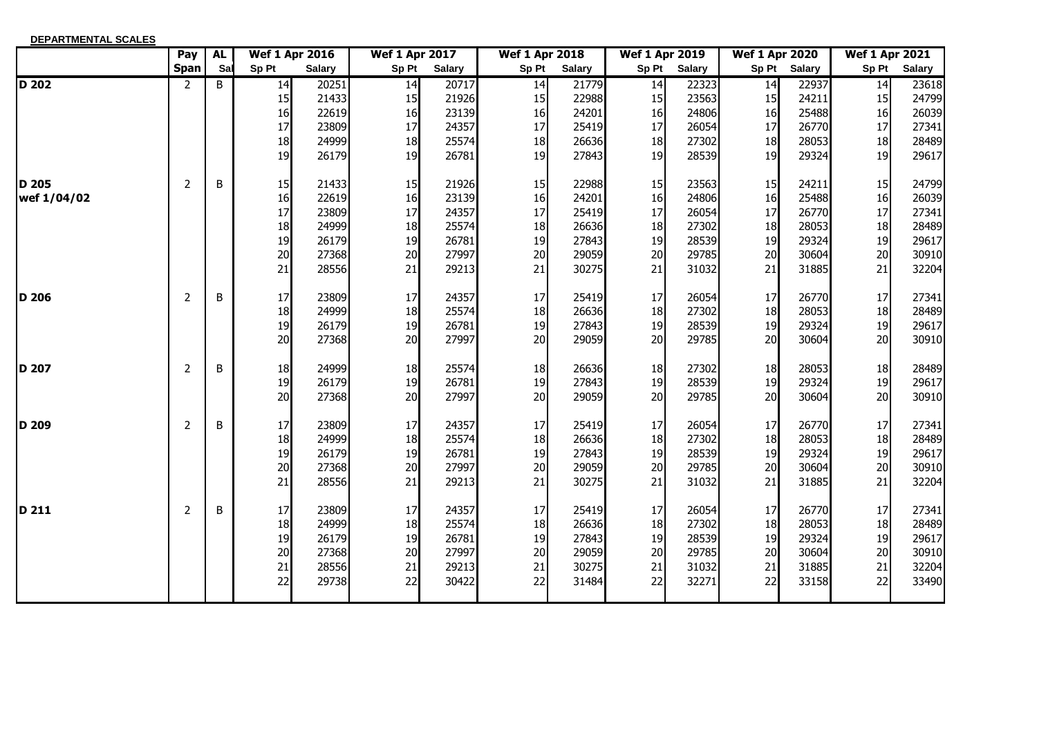| <b>DEPARTMENTAL SCALES</b> |                |           |                       |               |                       |               |                       |               |                       |               |                       |               |                       |               |
|----------------------------|----------------|-----------|-----------------------|---------------|-----------------------|---------------|-----------------------|---------------|-----------------------|---------------|-----------------------|---------------|-----------------------|---------------|
|                            | Pay            | <b>AL</b> | <b>Wef 1 Apr 2016</b> |               | <b>Wef 1 Apr 2017</b> |               | <b>Wef 1 Apr 2018</b> |               | <b>Wef 1 Apr 2019</b> |               | <b>Wef 1 Apr 2020</b> |               | <b>Wef 1 Apr 2021</b> |               |
|                            | <b>Span</b>    | Sal       | Sp Pt                 | <b>Salary</b> | Sp Pt                 | <b>Salary</b> | Sp Pt                 | <b>Salary</b> | Sp Pt                 | <b>Salary</b> | Sp Pt                 | <b>Salary</b> | Sp Pt                 | <b>Salary</b> |
| $\overline{D}$ 202         | 2              | B         | 14                    | 20251         | 14                    | 20717         | 14                    | 21779         | 14                    | 22323         | 14                    | 22937         | 14                    | 23618         |
|                            |                |           | 15                    | 21433         | 15                    | 21926         | 15                    | 22988         | 15                    | 23563         | 15                    | 24211         | 15                    | 24799         |
|                            |                |           | 16                    | 22619         | 16                    | 23139         | 16                    | 24201         | 16                    | 24806         | 16                    | 25488         | 16                    | 26039         |
|                            |                |           | 17                    | 23809         | 17                    | 24357         | 17                    | 25419         | 17                    | 26054         | 17                    | 26770         | 17                    | 27341         |
|                            |                |           | 18                    | 24999         | 18                    | 25574         | 18                    | 26636         | 18                    | 27302         | 18                    | 28053         | 18                    | 28489         |
|                            |                |           | 19                    | 26179         | 19                    | 26781         | 19                    | 27843         | 19                    | 28539         | 19                    | 29324         | 19                    | 29617         |
| <b>D</b> 205               | 2              | B         | 15                    | 21433         | 15                    | 21926         | 15                    | 22988         | 15                    | 23563         | 15                    | 24211         | 15                    | 24799         |
| wef 1/04/02                |                |           | 16                    | 22619         | 16                    | 23139         | 16                    | 24201         | 16                    | 24806         | 16                    | 25488         | 16                    | 26039         |
|                            |                |           | 17                    | 23809         | 17                    | 24357         | 17                    | 25419         | 17                    | 26054         | 17                    | 26770         | 17                    | 27341         |
|                            |                |           | 18                    | 24999         | 18                    | 25574         | 18                    | 26636         | 18                    | 27302         | 18                    | 28053         | 18                    | 28489         |
|                            |                |           | 19                    | 26179         | 19                    | 26781         | 19                    | 27843         | 19                    | 28539         | 19                    | 29324         | 19                    | 29617         |
|                            |                |           | 20                    | 27368         | 20                    | 27997         | 20                    | 29059         | 20                    | 29785         | 20                    | 30604         | 20                    | 30910         |
|                            |                |           | 21                    | 28556         | 21                    | 29213         | 21                    | 30275         | 21                    | 31032         | 21                    | 31885         | 21                    | 32204         |
| D 206                      | 2              | B         | 17                    | 23809         | 17                    | 24357         | 17                    | 25419         | 17                    | 26054         | 17                    | 26770         | 17                    | 27341         |
|                            |                |           | 18                    | 24999         | 18                    | 25574         | 18                    | 26636         | 18                    | 27302         | 18                    | 28053         | 18                    | 28489         |
|                            |                |           | 19                    | 26179         | 19                    | 26781         | 19                    | 27843         | 19                    | 28539         | 19                    | 29324         | 19                    | 29617         |
|                            |                |           | 20                    | 27368         | 20                    | 27997         | 20                    | 29059         | 20                    | 29785         | 20                    | 30604         | 20                    | 30910         |
| <b>D</b> 207               | $\overline{2}$ | B         | 18                    | 24999         | 18                    | 25574         | 18                    | 26636         | 18                    | 27302         | 18                    | 28053         | 18                    | 28489         |
|                            |                |           | 19                    | 26179         | 19                    | 26781         | 19                    | 27843         | 19                    | 28539         | 19                    | 29324         | 19                    | 29617         |
|                            |                |           | 20                    | 27368         | 20                    | 27997         | 20                    | 29059         | 20                    | 29785         | 20                    | 30604         | 20                    | 30910         |
| D 209                      | 2              | B         | 17                    | 23809         | 17                    | 24357         | 17                    | 25419         | 17                    | 26054         | 17                    | 26770         | 17                    | 27341         |
|                            |                |           | 18                    | 24999         | 18                    | 25574         | 18                    | 26636         | 18                    | 27302         | 18                    | 28053         | 18                    | 28489         |
|                            |                |           | 19                    | 26179         | 19                    | 26781         | 19                    | 27843         | 19                    | 28539         | 19                    | 29324         | 19                    | 29617         |
|                            |                |           | 20                    | 27368         | 20                    | 27997         | 20                    | 29059         | 20                    | 29785         | 20                    | 30604         | 20                    | 30910         |
|                            |                |           | 21                    | 28556         | 21                    | 29213         | 21                    | 30275         | 21                    | 31032         | 21                    | 31885         | 21                    | 32204         |
| D 211                      | 2              | B         | 17                    | 23809         | 17                    | 24357         | 17                    | 25419         | 17                    | 26054         | 17                    | 26770         | 17                    | 27341         |
|                            |                |           | 18                    | 24999         | 18                    | 25574         | 18                    | 26636         | 18                    | 27302         | 18                    | 28053         | 18                    | 28489         |
|                            |                |           | 19                    | 26179         | 19                    | 26781         | 19                    | 27843         | 19                    | 28539         | 19                    | 29324         | 19                    | 29617         |
|                            |                |           | 20                    | 27368         | 20                    | 27997         | 20                    | 29059         | 20                    | 29785         | 20                    | 30604         | 20                    | 30910         |
|                            |                |           | 21                    | 28556         | 21                    | 29213         | 21                    | 30275         | 21                    | 31032         | 21                    | 31885         | 21                    | 32204         |
|                            |                |           | 22                    | 29738         | 22                    | 30422         | 22                    | 31484         | 22                    | 32271         | 22                    | 33158         | 22                    | 33490         |
|                            |                |           |                       |               |                       |               |                       |               |                       |               |                       |               |                       |               |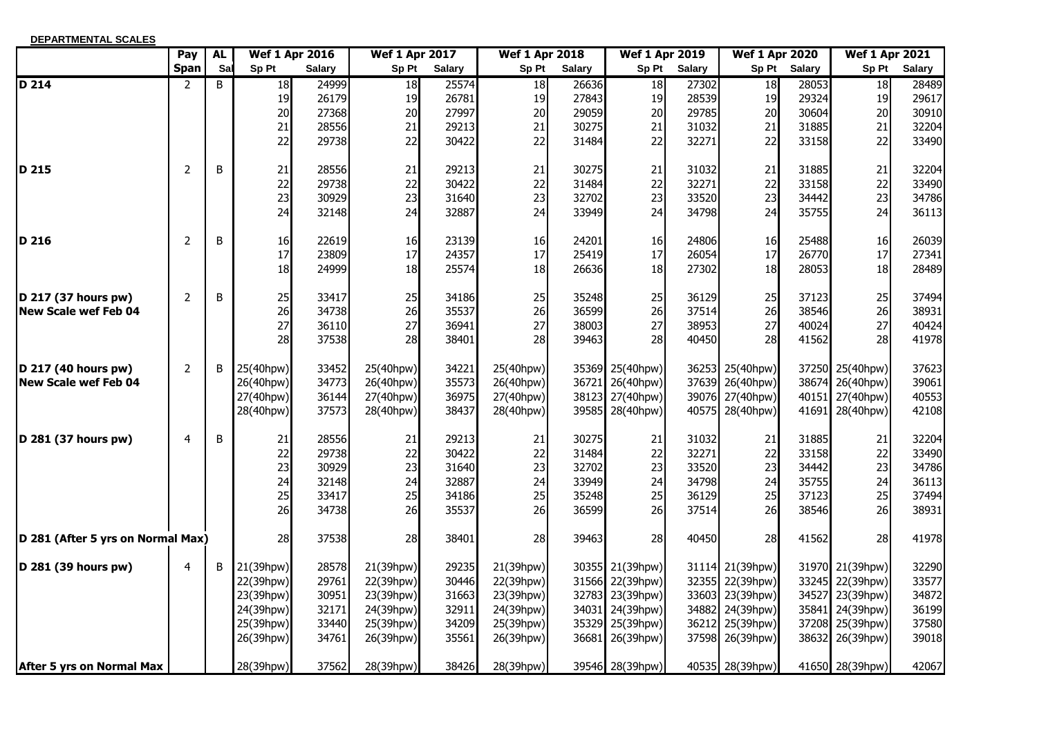| <b>DEPARTMENTAL SCALES</b>        |                |           |           |                       |                       |               |                       |               |                       |               |                       |               |                       |               |
|-----------------------------------|----------------|-----------|-----------|-----------------------|-----------------------|---------------|-----------------------|---------------|-----------------------|---------------|-----------------------|---------------|-----------------------|---------------|
|                                   | Pay            | <b>AL</b> |           | <b>Wef 1 Apr 2016</b> | <b>Wef 1 Apr 2017</b> |               | <b>Wef 1 Apr 2018</b> |               | <b>Wef 1 Apr 2019</b> |               | <b>Wef 1 Apr 2020</b> |               | <b>Wef 1 Apr 2021</b> |               |
|                                   | <b>Span</b>    | Sal       | Sp Pt     | <b>Salary</b>         | Sp Pt                 | <b>Salary</b> | Sp Pt                 | <b>Salary</b> | Sp Pt                 | <b>Salary</b> | Sp Pt                 | <b>Salary</b> | Sp Pt                 | <b>Salary</b> |
| $D$ 214                           | $\overline{2}$ | B         | 18        | 24999                 | $\overline{18}$       | 25574         | 18                    | 26636         | 18                    | 27302         | 18                    | 28053         | 18                    | 28489         |
|                                   |                |           | 19        | 26179                 | 19                    | 26781         | 19                    | 27843         | 19                    | 28539         | 19                    | 29324         | 19                    | 29617         |
|                                   |                |           | 20        | 27368                 | 20                    | 27997         | 20                    | 29059         | 20                    | 29785         | 20                    | 30604         | 20                    | 30910         |
|                                   |                |           | 21        | 28556                 | 21                    | 29213         | 21                    | 30275         | 21                    | 31032         | 21                    | 31885         | 21                    | 32204         |
|                                   |                |           | 22        | 29738                 | 22                    | 30422         | 22                    | 31484         | 22                    | 32271         | 22                    | 33158         | 22                    | 33490         |
| D 215                             | $\overline{2}$ | B         | 21        | 28556                 | 21                    | 29213         | 21                    | 30275         | 21                    | 31032         | 21                    | 31885         | 21                    | 32204         |
|                                   |                |           | 22        | 29738                 | 22                    | 30422         | 22                    | 31484         | 22                    | 32271         | 22                    | 33158         | 22                    | 33490         |
|                                   |                |           | 23        | 30929                 | 23                    | 31640         | 23                    | 32702         | 23                    | 33520         | 23                    | 34442         | 23                    | 34786         |
|                                   |                |           | 24        | 32148                 | 24                    | 32887         | 24                    | 33949         | 24                    | 34798         | 24                    | 35755         | 24                    | 36113         |
| D 216                             | $\overline{2}$ | B         | 16        | 22619                 | 16                    | 23139         | 16                    | 24201         | 16                    | 24806         | 16                    | 25488         | 16                    | 26039         |
|                                   |                |           | 17        | 23809                 | 17                    | 24357         | 17                    | 25419         | 17                    | 26054         | 17                    | 26770         | 17                    | 27341         |
|                                   |                |           | 18        | 24999                 | 18                    | 25574         | 18                    | 26636         | 18                    | 27302         | 18                    | 28053         | 18                    | 28489         |
| D 217 (37 hours pw)               | $\overline{2}$ | B         | 25        | 33417                 | 25                    | 34186         | 25                    | 35248         | 25                    | 36129         | 25                    | 37123         | 25                    | 37494         |
| <b>New Scale wef Feb 04</b>       |                |           | 26        | 34738                 | 26                    | 35537         | 26                    | 36599         | 26                    | 37514         | 26                    | 38546         | 26                    | 38931         |
|                                   |                |           | 27        | 36110                 | 27                    | 36941         | 27                    | 38003         | 27                    | 38953         | 27                    | 40024         | 27                    | 40424         |
|                                   |                |           | 28        | 37538                 | 28                    | 38401         | 28                    | 39463         | 28                    | 40450         | 28                    | 41562         | 28                    | 41978         |
| D 217 (40 hours pw)               | $\overline{2}$ | B         | 25(40hpw) | 33452                 | 25(40hpw)             | 34221         | 25(40hpw)             |               | 35369 25(40hpw)       |               | 36253 25(40hpw)       |               | 37250 25(40hpw)       | 37623         |
| <b>New Scale wef Feb 04</b>       |                |           | 26(40hpw) | 34773                 | 26(40hpw)             | 35573         | 26(40hpw)             |               | 36721 26(40hpw)       |               | 37639 26(40hpw)       | 38674         | 26(40hpw)             | 39061         |
|                                   |                |           | 27(40hpw) | 36144                 | 27(40hpw)             | 36975         | 27(40hpw)             | 38123         | 27(40hpw)             |               | 39076 27(40hpw)       | 40151         | 27(40hpw)             | 40553         |
|                                   |                |           | 28(40hpw) | 37573                 | 28(40hpw)             | 38437         | 28(40hpw)             |               | 39585 28(40hpw)       | 40575         | 28(40hpw)             | 41691         | 28(40hpw)             | 42108         |
| D 281 (37 hours pw)               | $\overline{a}$ | B         | 21        | 28556                 | 21                    | 29213         | 21                    | 30275         | 21                    | 31032         | 21                    | 31885         | 21                    | 32204         |
|                                   |                |           | 22        | 29738                 | 22                    | 30422         | 22                    | 31484         | 22                    | 32271         | 22                    | 33158         | 22                    | 33490         |
|                                   |                |           | 23        | 30929                 | 23                    | 31640         | 23                    | 32702         | 23                    | 33520         | 23                    | 34442         | 23                    | 34786         |
|                                   |                |           | 24        | 32148                 | 24                    | 32887         | 24                    | 33949         | 24                    | 34798         | 24                    | 35755         | 24                    | 36113         |
|                                   |                |           | 25        | 33417                 | 25                    | 34186         | 25                    | 35248         | 25                    | 36129         | 25                    | 37123         | 25                    | 37494         |
|                                   |                |           | 26        | 34738                 | 26                    | 35537         | 26                    | 36599         | 26                    | 37514         | 26                    | 38546         | 26                    | 38931         |
| D 281 (After 5 yrs on Normal Max) |                |           | 28        | 37538                 | 28                    | 38401         | 28                    | 39463         | 28                    | 40450         | 28                    | 41562         | 28                    | 41978         |
| D 281 (39 hours pw)               | $\overline{4}$ | B         | 21(39hpw) | 28578                 | 21(39hpw)             | 29235         | 21(39hpw)             |               | 30355 21(39hpw)       |               | 31114 21(39hpw)       |               | 31970 21(39hpw)       | 32290         |
|                                   |                |           | 22(39hpw) | 29761                 | 22(39hpw)             | 30446         | 22(39hpw)             |               | 31566 22(39hpw)       |               | 32355 22(39hpw)       | 33245         | 22(39hpw)             | 33577         |
|                                   |                |           | 23(39hpw) | 30951                 | 23(39hpw)             | 31663         | 23(39hpw)             |               | 32783 23(39hpw)       | 33603         | 23(39hpw)             | 34527         | 23(39hpw)             | 34872         |
|                                   |                |           | 24(39hpw) | 32171                 | 24(39hpw)             | 32911         | 24(39hpw)             |               | 34031 24(39hpw)       | 34882         | 24(39hpw)             | 35841         | 24(39hpw)             | 36199         |
|                                   |                |           | 25(39hpw) | 33440                 | 25(39hpw)             | 34209         | 25(39hpw)             |               | 35329 25(39hpw)       | 36212         | 25(39hpw)             | 37208         | 25(39hpw)             | 37580         |
|                                   |                |           | 26(39hpw) | 34761                 | 26(39hpw)             | 35561         | 26(39hpw)             |               | 36681 26(39hpw)       |               | 37598 26(39hpw)       |               | 38632 26(39hpw)       | 39018         |
| <b>After 5 yrs on Normal Max</b>  |                |           | 28(39hpw) | 37562                 | 28(39hpw)             | 38426         | 28(39hpw)             |               | 39546 28(39hpw)       |               | 40535 28(39hpw)       |               | 41650 28(39hpw)       | 42067         |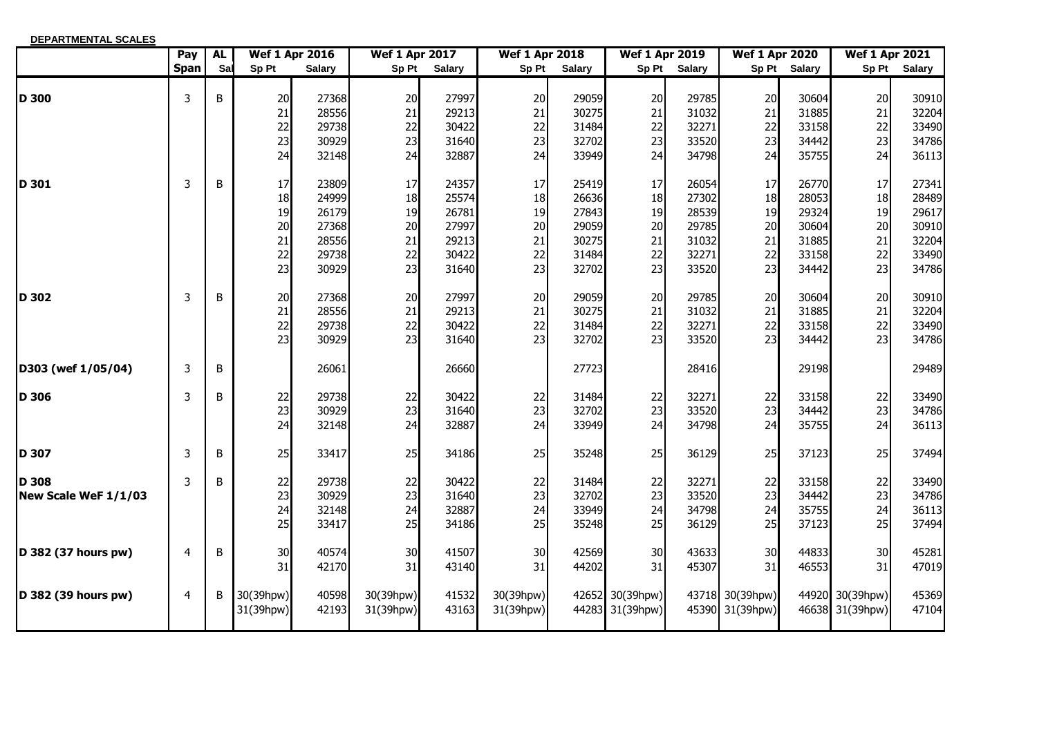| <b>DEPARTMENTAL SCALES</b>    |             |           |                                        |                                                             |                                        |                                                             |                                        |                                                             |                                        |                                                             |                                        |                                                             |                                        |                                                             |
|-------------------------------|-------------|-----------|----------------------------------------|-------------------------------------------------------------|----------------------------------------|-------------------------------------------------------------|----------------------------------------|-------------------------------------------------------------|----------------------------------------|-------------------------------------------------------------|----------------------------------------|-------------------------------------------------------------|----------------------------------------|-------------------------------------------------------------|
|                               | Pay         | <b>AL</b> |                                        | <b>Wef 1 Apr 2016</b>                                       | <b>Wef 1 Apr 2017</b>                  |                                                             | <b>Wef 1 Apr 2018</b>                  |                                                             | <b>Wef 1 Apr 2019</b>                  |                                                             | <b>Wef 1 Apr 2020</b>                  |                                                             | <b>Wef 1 Apr 2021</b>                  |                                                             |
|                               | <b>Span</b> | Sal       | Sp Pt                                  | <b>Salary</b>                                               | Sp Pt                                  | <b>Salary</b>                                               | Sp Pt                                  | <b>Salary</b>                                               | Sp Pt                                  | <b>Salary</b>                                               |                                        | Sp Pt Salary                                                | Sp Pt                                  | <b>Salary</b>                                               |
| <b>D</b> 300                  | 3           | B         | 20<br>21<br>22<br>23<br>24             | 27368<br>28556<br>29738<br>30929<br>32148                   | 20<br>21<br>22<br>23<br>24             | 27997<br>29213<br>30422<br>31640<br>32887                   | 20<br>21<br>22<br>23<br>24             | 29059<br>30275<br>31484<br>32702<br>33949                   | 20<br>21<br>22<br>23<br>24             | 29785<br>31032<br>32271<br>33520<br>34798                   | 20<br>21<br>22<br>23<br>24             | 30604<br>31885<br>33158<br>34442<br>35755                   | 20<br>21<br>22<br>23<br>24             | 30910<br>32204<br>33490<br>34786<br>36113                   |
| ID 301                        | 3           | B         | 17<br>18<br>19<br>20<br>21<br>22<br>23 | 23809<br>24999<br>26179<br>27368<br>28556<br>29738<br>30929 | 17<br>18<br>19<br>20<br>21<br>22<br>23 | 24357<br>25574<br>26781<br>27997<br>29213<br>30422<br>31640 | 17<br>18<br>19<br>20<br>21<br>22<br>23 | 25419<br>26636<br>27843<br>29059<br>30275<br>31484<br>32702 | 17<br>18<br>19<br>20<br>21<br>22<br>23 | 26054<br>27302<br>28539<br>29785<br>31032<br>32271<br>33520 | 17<br>18<br>19<br>20<br>21<br>22<br>23 | 26770<br>28053<br>29324<br>30604<br>31885<br>33158<br>34442 | 17<br>18<br>19<br>20<br>21<br>22<br>23 | 27341<br>28489<br>29617<br>30910<br>32204<br>33490<br>34786 |
| D 302                         | 3           | B         | 20<br>21<br>22<br>23                   | 27368<br>28556<br>29738<br>30929                            | 20<br>21<br>22<br>23                   | 27997<br>29213<br>30422<br>31640                            | 20<br>21<br>22<br>23                   | 29059<br>30275<br>31484<br>32702                            | 20<br>21<br>22<br>23                   | 29785<br>31032<br>32271<br>33520                            | 20<br>21<br>22<br>23                   | 30604<br>31885<br>33158<br>34442                            | 20<br>21<br>22<br>23                   | 30910<br>32204<br>33490<br>34786                            |
| D303 (wef 1/05/04)            | 3           | B         |                                        | 26061                                                       |                                        | 26660                                                       |                                        | 27723                                                       |                                        | 28416                                                       |                                        | 29198                                                       |                                        | 29489                                                       |
| D 306                         | 3           | B         | 22<br>23<br>24                         | 29738<br>30929<br>32148                                     | 22<br>23<br>24                         | 30422<br>31640<br>32887                                     | 22<br>23<br>24                         | 31484<br>32702<br>33949                                     | 22<br>23<br>24                         | 32271<br>33520<br>34798                                     | 22<br>23<br>24                         | 33158<br>34442<br>35755                                     | 22<br>23<br>24                         | 33490<br>34786<br>36113                                     |
| ID 307                        | 3           | B         | 25                                     | 33417                                                       | 25                                     | 34186                                                       | 25                                     | 35248                                                       | 25                                     | 36129                                                       | 25                                     | 37123                                                       | 25                                     | 37494                                                       |
| D 308<br>New Scale WeF 1/1/03 | 3           | B         | 22<br>23<br>24<br>25                   | 29738<br>30929<br>32148<br>33417                            | 22<br>23<br>24<br>25                   | 30422<br>31640<br>32887<br>34186                            | $\frac{22}{23}$<br>24<br>25            | 31484<br>32702<br>33949<br>35248                            | 22<br>23<br>24<br>25                   | 32271<br>33520<br>34798<br>36129                            | 22<br>23<br>24<br>25                   | 33158<br>34442<br>35755<br>37123                            | 22<br>23<br>24<br>25                   | 33490<br>34786<br>36113<br>37494                            |
| D 382 (37 hours pw)           | 4           | B         | 30<br>31                               | 40574<br>42170                                              | 30<br>31                               | 41507<br>43140                                              | 30<br>31                               | 42569<br>44202                                              | 30<br>31                               | 43633<br>45307                                              | 30<br>31                               | 44833<br>46553                                              | 30<br>31                               | 45281<br>47019                                              |
| D 382 (39 hours pw)           | 4           | B         | 30(39hpw)<br>31(39hpw)                 | 40598<br>42193                                              | 30(39hpw)<br>31(39hpw)                 | 41532<br>43163                                              | 30(39hpw)<br>31(39hpw)                 |                                                             | 42652 30(39hpw)<br>44283 31(39hpw)     |                                                             | 43718 30(39hpw)<br>45390 31(39hpw)     |                                                             | 44920 30(39hpw)<br>46638 31(39hpw)     | 45369<br>47104                                              |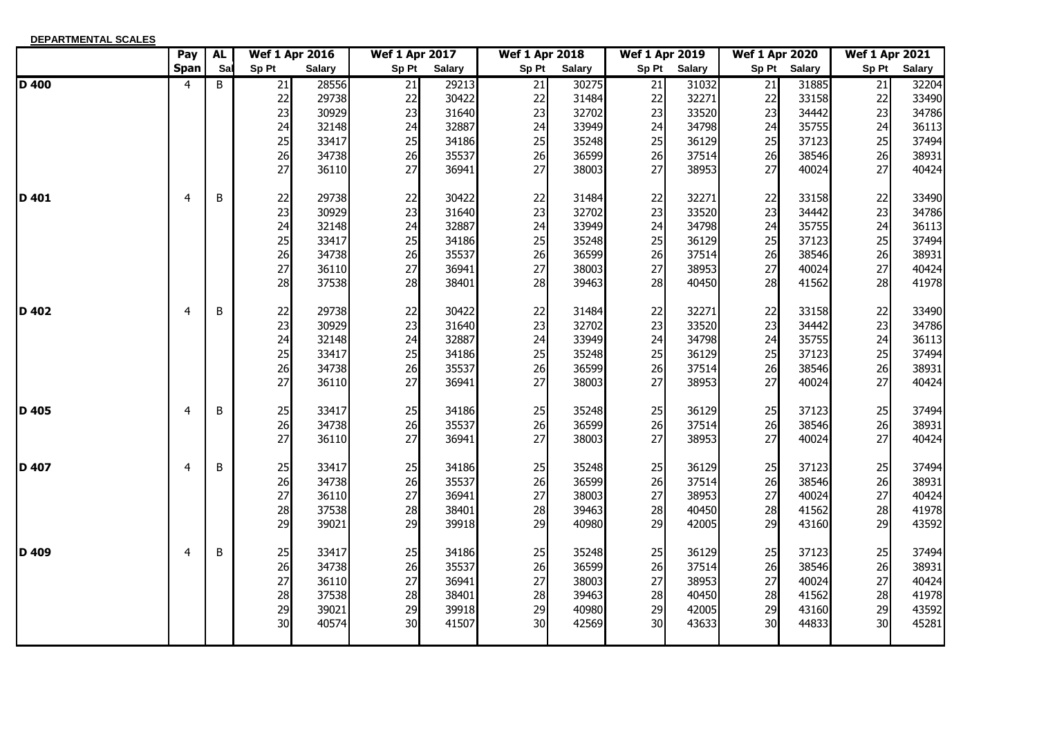| <b>DEPARTMENTAL SCALES</b> |             |           |                       |               |                       |               |                       |               |                       |               |                       |        |                       |               |
|----------------------------|-------------|-----------|-----------------------|---------------|-----------------------|---------------|-----------------------|---------------|-----------------------|---------------|-----------------------|--------|-----------------------|---------------|
|                            | Pay         | <b>AL</b> | <b>Wef 1 Apr 2016</b> |               | <b>Wef 1 Apr 2017</b> |               | <b>Wef 1 Apr 2018</b> |               | <b>Wef 1 Apr 2019</b> |               | <b>Wef 1 Apr 2020</b> |        | <b>Wef 1 Apr 2021</b> |               |
|                            | <b>Span</b> | Sal       | Sp Pt                 | <b>Salary</b> | Sp Pt                 | <b>Salary</b> | Sp Pt                 | <b>Salary</b> | Sp Pt                 | <b>Salary</b> | Sp Pt                 | Salary | Sp Pt                 | <b>Salary</b> |
| <b>D</b> 400               | 4           | B         | 21                    | 28556         | 21                    | 29213         | 21                    | 30275         | $\overline{21}$       | 31032         | $\overline{21}$       | 31885  | 21                    | 32204         |
|                            |             |           | 22                    | 29738         | 22                    | 30422         | 22                    | 31484         | 22                    | 32271         | 22                    | 33158  | 22                    | 33490         |
|                            |             |           | 23                    | 30929         | 23                    | 31640         | 23                    | 32702         | 23                    | 33520         | 23                    | 34442  | 23                    | 34786         |
|                            |             |           | 24                    | 32148         | 24                    | 32887         | 24                    | 33949         | 24                    | 34798         | 24                    | 35755  | 24                    | 36113         |
|                            |             |           | 25                    | 33417         | 25                    | 34186         | 25                    | 35248         | 25                    | 36129         | 25                    | 37123  | 25                    | 37494         |
|                            |             |           | 26                    | 34738         | 26                    | 35537         | 26                    | 36599         | 26                    | 37514         | 26                    | 38546  | 26                    | 38931         |
|                            |             |           | 27                    | 36110         | 27                    | 36941         | 27                    | 38003         | 27                    | 38953         | 27                    | 40024  | 27                    | 40424         |
| ID 401                     | 4           | B         | 22                    | 29738         | 22                    | 30422         | 22                    | 31484         | 22                    | 32271         | 22                    | 33158  | 22                    | 33490         |
|                            |             |           | 23                    | 30929         | 23                    | 31640         | 23                    | 32702         | 23                    | 33520         | 23                    | 34442  | 23                    | 34786         |
|                            |             |           | 24                    | 32148         | 24                    | 32887         | 24                    | 33949         | 24                    | 34798         | 24                    | 35755  | 24                    | 36113         |
|                            |             |           | 25                    | 33417         | 25                    | 34186         | 25                    | 35248         | 25                    | 36129         | 25                    | 37123  | 25                    | 37494         |
|                            |             |           | 26                    | 34738         | 26                    | 35537         | 26                    | 36599         | 26                    | 37514         | 26                    | 38546  | 26                    | 38931         |
|                            |             |           | 27                    | 36110         | 27                    | 36941         | 27                    | 38003         | 27                    | 38953         | 27                    | 40024  | 27                    | 40424         |
|                            |             |           | 28                    | 37538         | 28                    | 38401         | 28                    | 39463         | 28                    | 40450         | 28                    | 41562  | 28                    | 41978         |
| ID 402                     | 4           | B         | 22                    | 29738         | 22                    | 30422         | 22                    | 31484         | 22                    | 32271         | 22                    | 33158  | 22                    | 33490         |
|                            |             |           | 23                    | 30929         | 23                    | 31640         | 23                    | 32702         | 23                    | 33520         | 23                    | 34442  | 23                    | 34786         |
|                            |             |           | 24                    | 32148         | 24                    | 32887         | 24                    | 33949         | 24                    | 34798         | 24                    | 35755  | 24                    | 36113         |
|                            |             |           | 25                    | 33417         | 25                    | 34186         | 25                    | 35248         | 25                    | 36129         | 25                    | 37123  | 25                    | 37494         |
|                            |             |           | 26                    | 34738         | 26                    | 35537         | 26                    | 36599         | 26                    | 37514         | 26                    | 38546  | 26                    | 38931         |
|                            |             |           | 27                    | 36110         | 27                    | 36941         | 27                    | 38003         | 27                    | 38953         | 27                    | 40024  | 27                    | 40424         |
| ID 405                     | 4           | B         | 25                    | 33417         | 25                    | 34186         | 25                    | 35248         | 25                    | 36129         | 25                    | 37123  | 25                    | 37494         |
|                            |             |           | 26                    | 34738         | 26                    | 35537         | 26                    | 36599         | 26                    | 37514         | 26                    | 38546  | 26                    | 38931         |
|                            |             |           | 27                    | 36110         | 27                    | 36941         | 27                    | 38003         | 27                    | 38953         | 27                    | 40024  | 27                    | 40424         |
| ID 407                     | 4           | $\sf B$   | 25                    | 33417         | 25                    | 34186         | 25                    | 35248         | 25                    | 36129         | 25                    | 37123  | 25                    | 37494         |
|                            |             |           | 26                    | 34738         | 26                    | 35537         | 26                    | 36599         | 26                    | 37514         | 26                    | 38546  | 26                    | 38931         |
|                            |             |           | 27                    | 36110         | 27                    | 36941         | 27                    | 38003         | 27                    | 38953         | 27                    | 40024  | 27                    | 40424         |
|                            |             |           | 28                    | 37538         | 28                    | 38401         | 28                    | 39463         | 28                    | 40450         | 28                    | 41562  | 28                    | 41978         |
|                            |             |           | 29                    | 39021         | 29                    | 39918         | 29                    | 40980         | 29                    | 42005         | 29                    | 43160  | 29                    | 43592         |
| <b>ID 409</b>              | 4           | B         | 25                    | 33417         | 25                    | 34186         | 25                    | 35248         | 25                    | 36129         | 25                    | 37123  | 25                    | 37494         |
|                            |             |           | 26                    | 34738         | 26                    | 35537         | 26                    | 36599         | 26                    | 37514         | 26                    | 38546  | 26                    | 38931         |
|                            |             |           | 27                    | 36110         | 27                    | 36941         | 27                    | 38003         | 27                    | 38953         | 27                    | 40024  | 27                    | 40424         |
|                            |             |           | 28                    | 37538         | 28                    | 38401         | 28                    | 39463         | 28                    | 40450         | 28                    | 41562  | 28                    | 41978         |
|                            |             |           | 29                    | 39021         | 29                    | 39918         | 29                    | 40980         | 29                    | 42005         | 29                    | 43160  | 29                    | 43592         |
|                            |             |           | 30 <sup>1</sup>       | 40574         | 30 <sup>1</sup>       | 41507         | 30                    | 42569         | 30                    | 43633         | 30                    | 44833  | 30                    | 45281         |
|                            |             |           |                       |               |                       |               |                       |               |                       |               |                       |        |                       |               |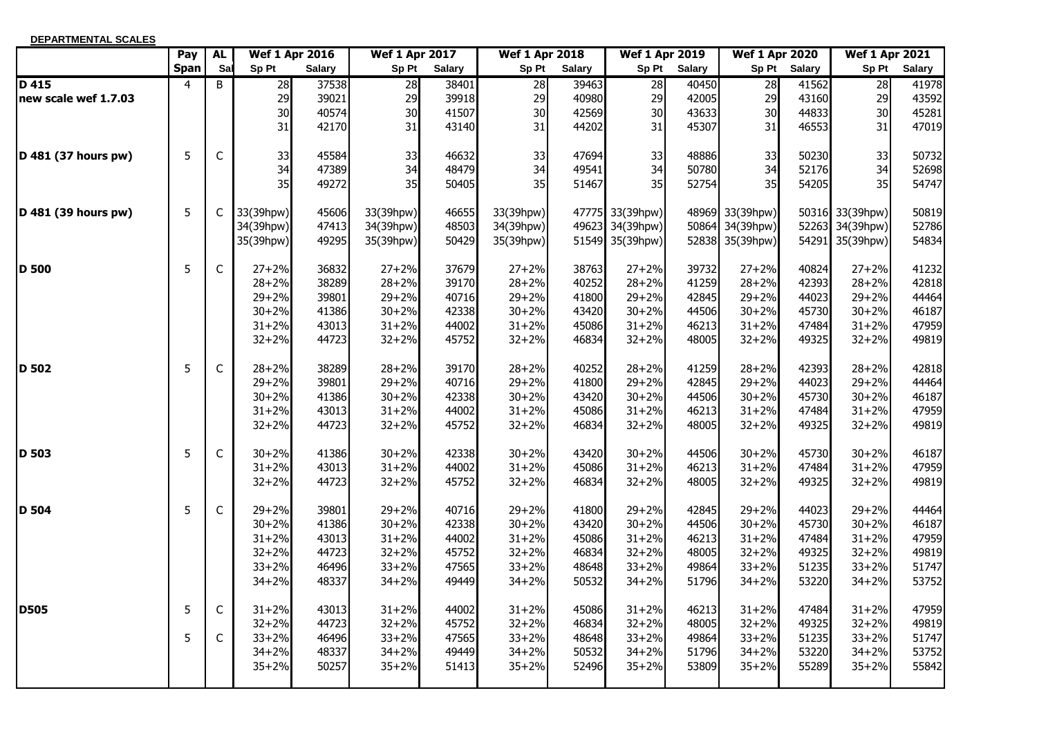| DEPARTMENTAL SCALES  |             |              |                       |               |                       |               |                       |               |                       |               |                       |               |                       |               |
|----------------------|-------------|--------------|-----------------------|---------------|-----------------------|---------------|-----------------------|---------------|-----------------------|---------------|-----------------------|---------------|-----------------------|---------------|
|                      | Pay         | <b>AL</b>    | <b>Wef 1 Apr 2016</b> |               | <b>Wef 1 Apr 2017</b> |               | <b>Wef 1 Apr 2018</b> |               | <b>Wef 1 Apr 2019</b> |               | <b>Wef 1 Apr 2020</b> |               | <b>Wef 1 Apr 2021</b> |               |
|                      | <b>Span</b> | Sal          | Sp Pt                 | <b>Salary</b> | Sp Pt                 | <b>Salary</b> | Sp Pt                 | <b>Salary</b> | Sp Pt                 | <b>Salary</b> | Sp Pt                 | <b>Salary</b> | Sp Pt                 | <b>Salary</b> |
| $D$ 415              | 4           | B            | 28                    | 37538         | 28                    | 38401         | 28                    | 39463         | 28                    | 40450         | $\overline{28}$       | 41562         | 28                    | 41978         |
| new scale wef 1.7.03 |             |              | 29                    | 39021         | 29                    | 39918         | 29                    | 40980         | 29                    | 42005         | 29                    | 43160         | 29                    | 43592         |
|                      |             |              | 30<br>31              | 40574         | 30<br>31              | 41507         | 30<br>31              | 42569         | 30<br>31              | 43633         | 30<br>31              | 44833         | 30<br>31              | 45281         |
|                      |             |              |                       | 42170         |                       | 43140         |                       | 44202         |                       | 45307         |                       | 46553         |                       | 47019         |
| D 481 (37 hours pw)  | 5           | $\mathsf{C}$ | 33                    | 45584         | 33                    | 46632         | 33                    | 47694         | 33                    | 48886         | 33                    | 50230         | 33                    | 50732         |
|                      |             |              | 34                    | 47389         | 34                    | 48479         | 34                    | 49541         | 34                    | 50780         | 34                    | 52176         | 34                    | 52698         |
|                      |             |              | 35                    | 49272         | 35                    | 50405         | 35                    | 51467         | 35                    | 52754         | 35                    | 54205         | 35                    | 54747         |
| D 481 (39 hours pw)  | 5           | $\mathsf{C}$ | 33(39hpw)             | 45606         | 33(39hpw)             | 46655         | 33(39hpw)             |               | 47775 33(39hpw)       |               | 48969 33(39hpw)       |               | 50316 33(39hpw)       | 50819         |
|                      |             |              | 34(39hpw)             | 47413         | 34(39hpw)             | 48503         | 34(39hpw)             |               | 49623 34(39hpw)       |               | 50864 34(39hpw)       |               | 52263 34(39hpw)       | 52786         |
|                      |             |              | 35(39hpw)             | 49295         | 35(39hpw)             | 50429         | 35(39hpw)             |               | 51549 35(39hpw)       |               | 52838 35(39hpw)       | 54291         | 35(39hpw)             | 54834         |
| D 500                | 5           | $\mathsf C$  | $27 + 2%$             | 36832         | $27 + 2%$             | 37679         | $27 + 2%$             | 38763         | $27 + 2%$             | 39732         | $27 + 2%$             | 40824         | $27 + 2%$             | 41232         |
|                      |             |              | $28 + 2%$             | 38289         | $28 + 2%$             | 39170         | $28 + 2%$             | 40252         | $28 + 2%$             | 41259         | $28 + 2%$             | 42393         | $28 + 2%$             | 42818         |
|                      |             |              | $29 + 2%$             | 39801         | $29 + 2%$             | 40716         | $29 + 2%$             | 41800         | $29 + 2%$             | 42845         | $29 + 2%$             | 44023         | $29 + 2%$             | 44464         |
|                      |             |              | $30 + 2%$             | 41386         | $30 + 2%$             | 42338         | $30 + 2%$             | 43420         | $30 + 2%$             | 44506         | $30 + 2%$             | 45730         | $30 + 2%$             | 46187         |
|                      |             |              | $31 + 2%$             | 43013         | $31 + 2%$             | 44002         | $31 + 2%$             | 45086         | $31 + 2%$             | 46213         | $31 + 2%$             | 47484         | $31 + 2%$             | 47959         |
|                      |             |              | $32 + 2%$             | 44723         | $32 + 2%$             | 45752         | $32 + 2%$             | 46834         | $32 + 2%$             | 48005         | $32 + 2%$             | 49325         | $32 + 2%$             | 49819         |
| D 502                | 5           | $\mathsf C$  | $28 + 2%$             | 38289         | $28 + 2%$             | 39170         | $28 + 2%$             | 40252         | $28 + 2%$             | 41259         | $28 + 2%$             | 42393         | $28 + 2%$             | 42818         |
|                      |             |              | $29 + 2%$             | 39801         | $29 + 2%$             | 40716         | $29 + 2%$             | 41800         | $29 + 2%$             | 42845         | $29 + 2%$             | 44023         | $29 + 2%$             | 44464         |
|                      |             |              | $30 + 2%$             | 41386         | $30 + 2%$             | 42338         | $30 + 2%$             | 43420         | $30 + 2%$             | 44506         | $30 + 2%$             | 45730         | $30 + 2%$             | 46187         |
|                      |             |              | $31 + 2%$             | 43013         | $31 + 2%$             | 44002         | $31 + 2%$             | 45086         | $31 + 2%$             | 46213         | $31 + 2%$             | 47484         | $31 + 2%$             | 47959         |
|                      |             |              | $32 + 2%$             | 44723         | $32 + 2%$             | 45752         | $32 + 2%$             | 46834         | $32 + 2%$             | 48005         | $32 + 2%$             | 49325         | $32 + 2%$             | 49819         |
| D 503                | 5           | $\mathsf C$  | $30 + 2%$             | 41386         | $30 + 2%$             | 42338         | $30 + 2%$             | 43420         | $30 + 2%$             | 44506         | $30 + 2%$             | 45730         | $30 + 2%$             | 46187         |
|                      |             |              | $31 + 2%$             | 43013         | $31 + 2%$             | 44002         | $31 + 2%$             | 45086         | $31 + 2%$             | 46213         | $31 + 2%$             | 47484         | $31 + 2%$             | 47959         |
|                      |             |              | $32 + 2%$             | 44723         | $32 + 2%$             | 45752         | $32 + 2%$             | 46834         | $32 + 2%$             | 48005         | $32 + 2%$             | 49325         | $32 + 2%$             | 49819         |
| <b>D</b> 504         | 5           | $\mathsf{C}$ | $29 + 2%$             | 39801         | $29 + 2%$             | 40716         | $29 + 2%$             | 41800         | $29 + 2%$             | 42845         | $29 + 2%$             | 44023         | $29 + 2%$             | 44464         |
|                      |             |              | $30 + 2%$             | 41386         | $30 + 2%$             | 42338         | $30 + 2%$             | 43420         | $30 + 2%$             | 44506         | $30 + 2%$             | 45730         | $30 + 2%$             | 46187         |
|                      |             |              | $31 + 2%$             | 43013         | $31 + 2%$             | 44002         | $31 + 2%$             | 45086         | $31 + 2%$             | 46213         | $31 + 2%$             | 47484         | $31 + 2%$             | 47959         |
|                      |             |              | $32 + 2%$             | 44723         | $32 + 2%$             | 45752         | $32 + 2%$             | 46834         | $32 + 2%$             | 48005         | $32 + 2%$             | 49325         | $32 + 2%$             | 49819         |
|                      |             |              | $33 + 2%$             | 46496         | $33 + 2%$             | 47565         | $33 + 2%$             | 48648         | $33 + 2%$             | 49864         | $33 + 2%$             | 51235         | $33 + 2%$             | 51747         |
|                      |             |              | $34 + 2%$             | 48337         | $34 + 2%$             | 49449         | $34 + 2%$             | 50532         | $34 + 2%$             | 51796         | $34 + 2%$             | 53220         | $34 + 2%$             | 53752         |
| <b>ID505</b>         | 5           | C            | $31 + 2%$             | 43013         | $31 + 2%$             | 44002         | $31 + 2%$             | 45086         | $31 + 2%$             | 46213         | $31 + 2%$             | 47484         | $31 + 2%$             | 47959         |
|                      |             |              | $32 + 2%$             | 44723         | $32 + 2%$             | 45752         | $32 + 2%$             | 46834         | $32 + 2%$             | 48005         | $32 + 2%$             | 49325         | $32 + 2%$             | 49819         |
|                      | 5           | $\mathsf{C}$ | $33 + 2%$             | 46496         | $33 + 2%$             | 47565         | $33 + 2%$             | 48648         | $33 + 2%$             | 49864         | $33 + 2%$             | 51235         | $33 + 2%$             | 51747         |
|                      |             |              | $34 + 2%$             | 48337         | $34 + 2%$             | 49449         | $34 + 2%$             | 50532         | $34 + 2%$             | 51796         | $34 + 2%$             | 53220         | $34 + 2%$             | 53752         |
|                      |             |              | $35 + 2%$             | 50257         | $35 + 2%$             | 51413         | $35 + 2%$             | 52496         | $35 + 2%$             | 53809         | $35 + 2%$             | 55289         | $35 + 2%$             | 55842         |
|                      |             |              |                       |               |                       |               |                       |               |                       |               |                       |               |                       |               |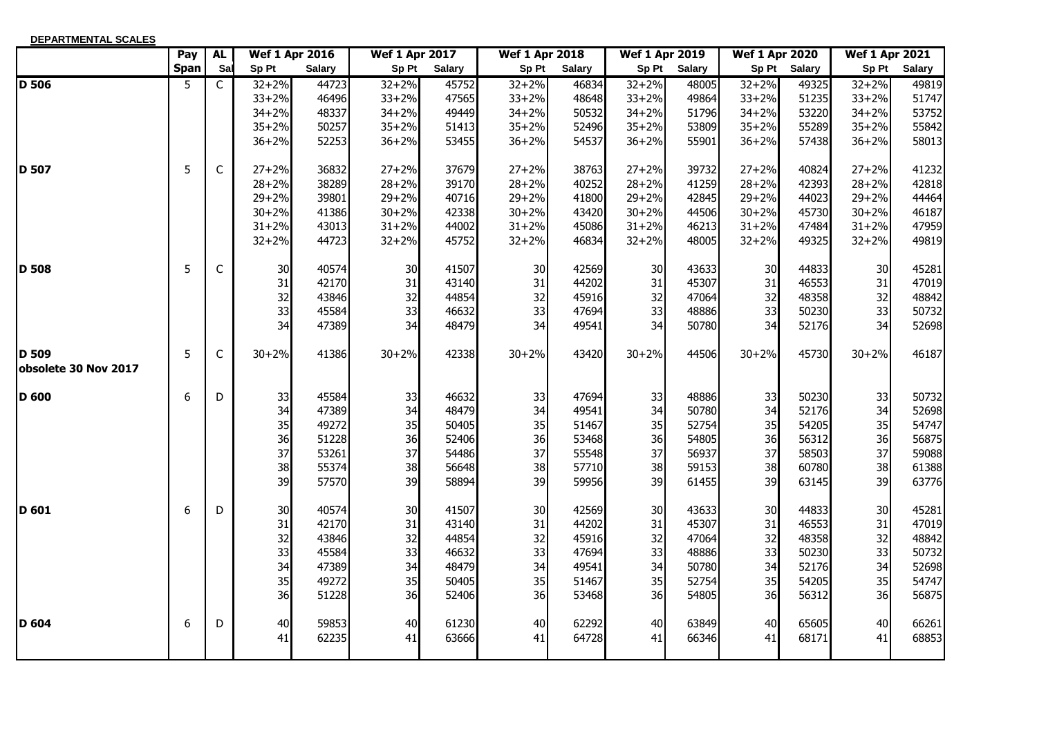| DEPARTMENTAL SCALES           |             |             |                       |               |                       |               |                       |               |                       |               |                       |               |                       |               |
|-------------------------------|-------------|-------------|-----------------------|---------------|-----------------------|---------------|-----------------------|---------------|-----------------------|---------------|-----------------------|---------------|-----------------------|---------------|
|                               | Pay         | <b>AL</b>   | <b>Wef 1 Apr 2016</b> |               | <b>Wef 1 Apr 2017</b> |               | <b>Wef 1 Apr 2018</b> |               | <b>Wef 1 Apr 2019</b> |               | <b>Wef 1 Apr 2020</b> |               | <b>Wef 1 Apr 2021</b> |               |
|                               | <b>Span</b> | Sal         | Sp Pt                 | <b>Salary</b> | Sp Pt                 | <b>Salary</b> | Sp Pt                 | <b>Salary</b> | Sp Pt                 | <b>Salary</b> | Sp Pt                 | <b>Salary</b> | Sp Pt                 | <b>Salary</b> |
| <b>D</b> 506                  | 5           | C           | $32 + 2%$             | 44723         | $32 + 2%$             | 45752         | $32 + 2%$             | 46834         | $32 + 2%$             | 48005         | $32 + 2%$             | 49325         | $32 + 2%$             | 49819         |
|                               |             |             | $33 + 2%$             | 46496         | $33 + 2%$             | 47565         | $33 + 2%$             | 48648         | $33 + 2%$             | 49864         | $33 + 2%$             | 51235         | $33 + 2%$             | 51747         |
|                               |             |             | $34 + 2%$             | 48337         | $34 + 2%$             | 49449         | $34 + 2%$             | 50532         | $34 + 2%$             | 51796         | $34 + 2%$             | 53220         | $34 + 2%$             | 53752         |
|                               |             |             | $35 + 2%$             | 50257         | $35 + 2%$             | 51413         | $35 + 2%$             | 52496         | $35 + 2%$             | 53809         | $35 + 2%$             | 55289         | $35 + 2%$             | 55842         |
|                               |             |             | $36 + 2%$             | 52253         | $36 + 2%$             | 53455         | $36 + 2%$             | 54537         | $36 + 2%$             | 55901         | $36 + 2%$             | 57438         | $36 + 2%$             | 58013         |
| <b>ID 507</b>                 | 5           | $\mathsf C$ | $27 + 2%$             | 36832         | $27 + 2%$             | 37679         | $27 + 2%$             | 38763         | $27 + 2%$             | 39732         | $27 + 2%$             | 40824         | $27 + 2%$             | 41232         |
|                               |             |             | $28 + 2%$             | 38289         | $28 + 2%$             | 39170         | $28 + 2%$             | 40252         | $28 + 2%$             | 41259         | $28 + 2%$             | 42393         | $28 + 2%$             | 42818         |
|                               |             |             | $29 + 2%$             | 39801         | $29 + 2%$             | 40716         | $29 + 2%$             | 41800         | $29 + 2%$             | 42845         | $29 + 2%$             | 44023         | $29 + 2%$             | 44464         |
|                               |             |             | $30 + 2%$             | 41386         | $30 + 2%$             | 42338         | $30 + 2%$             | 43420         | $30 + 2%$             | 44506         | $30 + 2%$             | 45730         | $30 + 2%$             | 46187         |
|                               |             |             | $31 + 2%$             | 43013         | $31 + 2%$             | 44002         | $31 + 2%$             | 45086         | $31 + 2%$             | 46213         | $31 + 2%$             | 47484         | $31 + 2%$             | 47959         |
|                               |             |             | $32 + 2%$             | 44723         | $32 + 2%$             | 45752         | $32 + 2%$             | 46834         | $32 + 2%$             | 48005         | $32 + 2%$             | 49325         | $32 + 2%$             | 49819         |
| <b>D</b> 508                  | 5           | C           | 30                    | 40574         | 30                    | 41507         | 30                    | 42569         | 30                    | 43633         | 30                    | 44833         | 30                    | 45281         |
|                               |             |             | 31                    | 42170         | 31                    | 43140         | 31                    | 44202         | 31                    | 45307         | 31                    | 46553         | 31                    | 47019         |
|                               |             |             | 32                    | 43846         | 32                    | 44854         | 32                    | 45916         | 32                    | 47064         | 32                    | 48358         | 32                    | 48842         |
|                               |             |             | 33                    | 45584         | 33                    | 46632         | 33                    | 47694         | 33                    | 48886         | 33                    | 50230         | 33                    | 50732         |
|                               |             |             | 34                    | 47389         | 34                    | 48479         | 34                    | 49541         | 34                    | 50780         | 34                    | 52176         | 34                    | 52698         |
| D 509<br>obsolete 30 Nov 2017 | 5           | $\mathsf C$ | $30 + 2%$             | 41386         | $30 + 2%$             | 42338         | $30 + 2%$             | 43420         | $30 + 2%$             | 44506         | $30 + 2%$             | 45730         | $30 + 2%$             | 46187         |
| <b>D</b> 600                  | 6           | D           | 33                    | 45584         | 33                    | 46632         | 33                    | 47694         | 33                    | 48886         | 33                    | 50230         | 33                    | 50732         |
|                               |             |             | 34                    | 47389         | 34                    | 48479         | 34                    | 49541         | 34                    | 50780         | 34                    | 52176         | 34                    | 52698         |
|                               |             |             | 35                    | 49272         | 35                    | 50405         | 35                    | 51467         | 35                    | 52754         | 35                    | 54205         | 35                    | 54747         |
|                               |             |             | 36                    | 51228         | 36                    | 52406         | 36                    | 53468         | 36                    | 54805         | 36                    | 56312         | 36                    | 56875         |
|                               |             |             | 37                    | 53261         | 37                    | 54486         | 37                    | 55548         | 37                    | 56937         | 37                    | 58503         | 37                    | 59088         |
|                               |             |             | 38                    | 55374         | 38                    | 56648         | 38                    | 57710         | 38                    | 59153         | 38                    | 60780         | 38                    | 61388         |
|                               |             |             | 39                    | 57570         | 39                    | 58894         | 39                    | 59956         | 39                    | 61455         | 39                    | 63145         | 39                    | 63776         |
| ID 601                        | 6           | D           | 30                    | 40574         | 30                    | 41507         | 30                    | 42569         | 30                    | 43633         | 30                    | 44833         | 30                    | 45281         |
|                               |             |             | 31                    | 42170         | 31                    | 43140         | 31                    | 44202         | 31                    | 45307         | 31                    | 46553         | 31                    | 47019         |
|                               |             |             | 32                    | 43846         | 32                    | 44854         | 32                    | 45916         | 32                    | 47064         | 32                    | 48358         | 32                    | 48842         |
|                               |             |             | 33                    | 45584         | 33                    | 46632         | 33                    | 47694         | 33                    | 48886         | 33                    | 50230         | 33                    | 50732         |
|                               |             |             | 34                    | 47389         | 34                    | 48479         | 34                    | 49541         | 34                    | 50780         | 34                    | 52176         | 34                    | 52698         |
|                               |             |             | 35                    | 49272         | 35                    | 50405         | 35                    | 51467         | 35                    | 52754         | 35                    | 54205         | 35                    | 54747         |
|                               |             |             | 36                    | 51228         | 36                    | 52406         | 36                    | 53468         | 36                    | 54805         | 36                    | 56312         | 36                    | 56875         |
| <b>ID 604</b>                 | 6           | D           | 40                    | 59853         | 40                    | 61230         | 40                    | 62292         | 40                    | 63849         | 40                    | 65605         | 40                    | 66261         |
|                               |             |             | 41                    | 62235         | 41                    | 63666         | 41                    | 64728         | 41                    | 66346         | 41                    | 68171         | 41                    | 68853         |
|                               |             |             |                       |               |                       |               |                       |               |                       |               |                       |               |                       |               |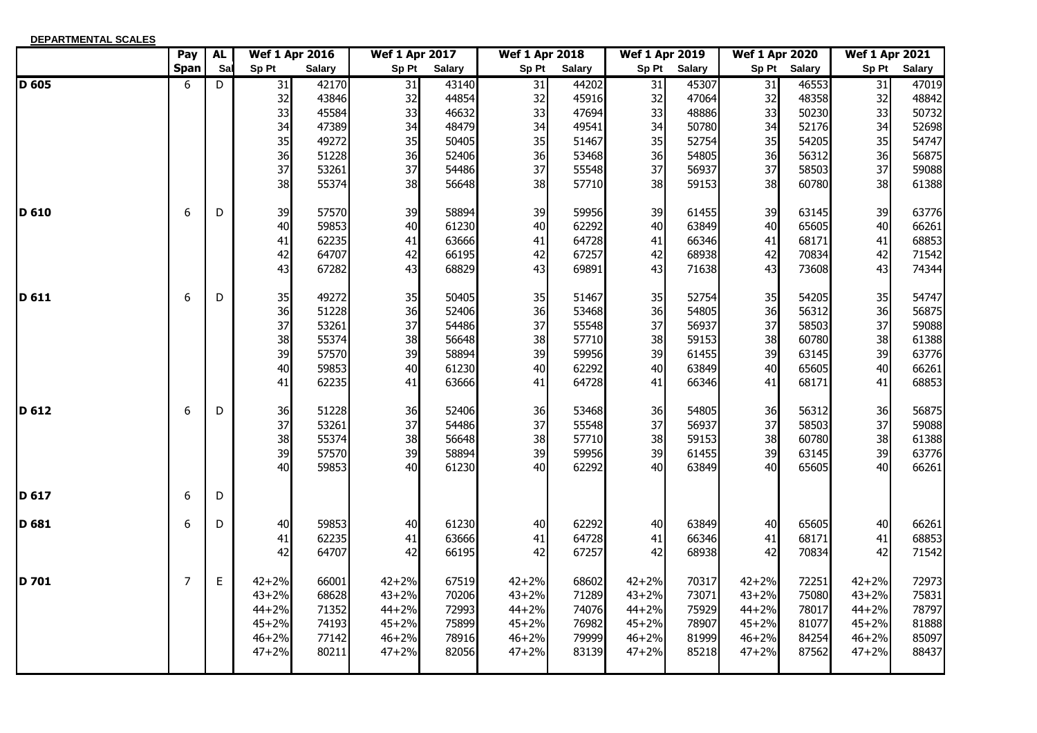| DEPARTMENTAL SCALES |                |             |           |                       |                       |               |                       |               |                       |               |                       |               |                       |               |
|---------------------|----------------|-------------|-----------|-----------------------|-----------------------|---------------|-----------------------|---------------|-----------------------|---------------|-----------------------|---------------|-----------------------|---------------|
|                     | Pay            | <b>AL</b>   |           | <b>Wef 1 Apr 2016</b> | <b>Wef 1 Apr 2017</b> |               | <b>Wef 1 Apr 2018</b> |               | <b>Wef 1 Apr 2019</b> |               | <b>Wef 1 Apr 2020</b> |               | <b>Wef 1 Apr 2021</b> |               |
|                     | <b>Span</b>    | Sal         | Sp Pt     | <b>Salary</b>         | Sp Pt                 | <b>Salary</b> | Sp Pt                 | <b>Salary</b> | Sp Pt                 | <b>Salary</b> | Sp Pt                 | <b>Salary</b> | Sp Pt                 | <b>Salary</b> |
| D 605               | 6              | D           | 31        | 42170                 | 31                    | 43140         | 31                    | 44202         | 31                    | 45307         | 31                    | 46553         | 31                    | 47019         |
|                     |                |             | 32        | 43846                 | 32                    | 44854         | 32                    | 45916         | 32                    | 47064         | 32                    | 48358         | 32                    | 48842         |
|                     |                |             | 33        | 45584                 | 33                    | 46632         | 33                    | 47694         | 33                    | 48886         | 33                    | 50230         | 33                    | 50732         |
|                     |                |             | 34        | 47389                 | 34                    | 48479         | 34                    | 49541         | 34                    | 50780         | 34                    | 52176         | 34                    | 52698         |
|                     |                |             | 35        | 49272                 | 35                    | 50405         | 35                    | 51467         | 35                    | 52754         | 35                    | 54205         | 35                    | 54747         |
|                     |                |             | 36        | 51228                 | 36                    | 52406         | 36                    | 53468         | 36                    | 54805         | 36                    | 56312         | 36                    | 56875         |
|                     |                |             | 37        | 53261                 | 37                    | 54486         | 37                    | 55548         | 37                    | 56937         | 37                    | 58503         | 37                    | 59088         |
|                     |                |             | 38        | 55374                 | 38                    | 56648         | 38                    | 57710         | 38                    | 59153         | 38                    | 60780         | 38                    | 61388         |
| D 610               | 6              | D           | 39        | 57570                 | 39                    | 58894         | 39                    | 59956         | 39                    | 61455         | 39                    | 63145         | 39                    | 63776         |
|                     |                |             | 40        | 59853                 | 40                    | 61230         | 40                    | 62292         | 40                    | 63849         | 40                    | 65605         | 40                    | 66261         |
|                     |                |             | 41        | 62235                 | 41                    | 63666         | 41                    | 64728         | 41                    | 66346         | 41                    | 68171         | 41                    | 68853         |
|                     |                |             | 42        | 64707                 | 42                    | 66195         | 42                    | 67257         | 42                    | 68938         | 42                    | 70834         | 42                    | 71542         |
|                     |                |             | 43        | 67282                 | 43                    | 68829         | 43                    | 69891         | 43                    | 71638         | 43                    | 73608         | 43                    | 74344         |
| ID 611              | 6              | D           | 35        | 49272                 | 35                    | 50405         | 35                    | 51467         | 35                    | 52754         | 35                    | 54205         | 35                    | 54747         |
|                     |                |             | 36        | 51228                 | 36                    | 52406         | 36                    | 53468         | 36                    | 54805         | 36                    | 56312         | 36                    | 56875         |
|                     |                |             | 37        | 53261                 | 37                    | 54486         | 37                    | 55548         | 37                    | 56937         | 37                    | 58503         | 37                    | 59088         |
|                     |                |             | 38        | 55374                 | 38                    | 56648         | 38                    | 57710         | 38                    | 59153         | 38                    | 60780         | 38                    | 61388         |
|                     |                |             | 39        | 57570                 | 39                    | 58894         | 39                    | 59956         | 39                    | 61455         | 39                    | 63145         | 39                    | 63776         |
|                     |                |             | 40        | 59853                 | 40                    | 61230         | 40                    | 62292         | 40                    | 63849         | 40                    | 65605         | 40                    | 66261         |
|                     |                |             | 41        | 62235                 | 41                    | 63666         | 41                    | 64728         | 41                    | 66346         | 41                    | 68171         | 41                    | 68853         |
| D 612               | 6              | D           | 36        | 51228                 | 36                    | 52406         | 36                    | 53468         | 36                    | 54805         | 36                    | 56312         | 36                    | 56875         |
|                     |                |             | 37        | 53261                 | 37                    | 54486         | 37                    | 55548         | 37                    | 56937         | 37                    | 58503         | 37                    | 59088         |
|                     |                |             | 38        | 55374                 | 38                    | 56648         | 38                    | 57710         | 38                    | 59153         | 38                    | 60780         | 38                    | 61388         |
|                     |                |             | 39        | 57570                 | 39                    | 58894         | 39                    | 59956         | 39                    | 61455         | 39                    | 63145         | 39                    | 63776         |
|                     |                |             | 40        | 59853                 | 40                    | 61230         | 40                    | 62292         | 40                    | 63849         | 40                    | 65605         | 40                    | 66261         |
| D 617               | 6              | D           |           |                       |                       |               |                       |               |                       |               |                       |               |                       |               |
| D 681               | 6              | D           | 40        | 59853                 | 40I                   | 61230         | 40                    | 62292         | 40                    | 63849         | 40                    | 65605         | 40                    | 66261         |
|                     |                |             | 41        | 62235                 | 41                    | 63666         | 41                    | 64728         | 41                    | 66346         | 41                    | 68171         | 41                    | 68853         |
|                     |                |             | 42        | 64707                 | 42                    | 66195         | 42                    | 67257         | 42                    | 68938         | 42                    | 70834         | 42                    | 71542         |
| <b>ID 701</b>       | $\overline{7}$ | $\mathsf E$ | $42 + 2%$ | 66001                 | $42 + 2%$             | 67519         | $42 + 2%$             | 68602         | $42 + 2%$             | 70317         | $42 + 2%$             | 72251         | $42 + 2%$             | 72973         |
|                     |                |             | $43 + 2%$ | 68628                 | $43 + 2%$             | 70206         | $43 + 2%$             | 71289         | $43 + 2%$             | 73071         | $43 + 2%$             | 75080         | $43 + 2%$             | 75831         |
|                     |                |             | $44 + 2%$ | 71352                 | $44 + 2%$             | 72993         | $44 + 2%$             | 74076         | $44 + 2%$             | 75929         | $44 + 2%$             | 78017         | 44+2%                 | 78797         |
|                     |                |             | $45 + 2%$ | 74193                 | $45 + 2%$             | 75899         | $45 + 2%$             | 76982         | $45 + 2%$             | 78907         | $45 + 2%$             | 81077         | $45 + 2%$             | 81888         |
|                     |                |             | $46 + 2%$ | 77142                 | $46 + 2%$             | 78916         | $46 + 2%$             | 79999         | $46 + 2%$             | 81999         | $46 + 2%$             | 84254         | $46 + 2%$             | 85097         |
|                     |                |             | $47 + 2%$ | 80211                 | $47 + 2%$             | 82056         | $47 + 2%$             | 83139         | $47 + 2%$             | 85218         | $47 + 2%$             | 87562         | $47 + 2%$             | 88437         |
|                     |                |             |           |                       |                       |               |                       |               |                       |               |                       |               |                       |               |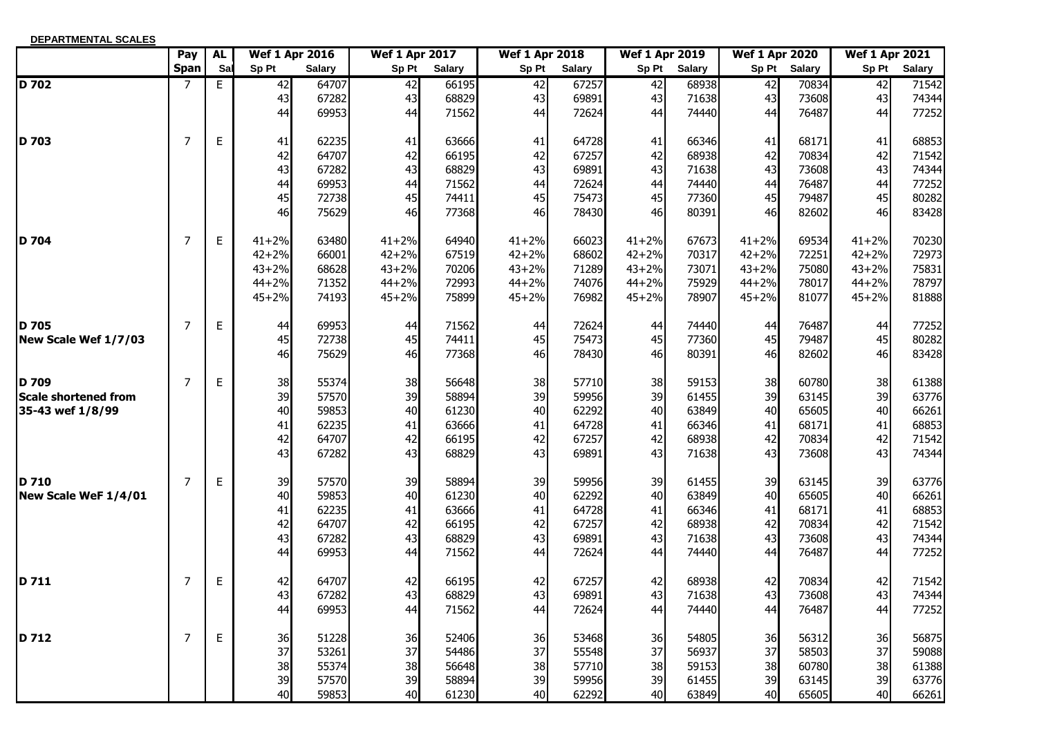| DEPARTMENTAL SCALES         |                |           |                       |               |                       |               |                       |               |                       |               |                       |               |                       |               |
|-----------------------------|----------------|-----------|-----------------------|---------------|-----------------------|---------------|-----------------------|---------------|-----------------------|---------------|-----------------------|---------------|-----------------------|---------------|
|                             | Pay            | <b>AL</b> | <b>Wef 1 Apr 2016</b> |               | <b>Wef 1 Apr 2017</b> |               | <b>Wef 1 Apr 2018</b> |               | <b>Wef 1 Apr 2019</b> |               | <b>Wef 1 Apr 2020</b> |               | <b>Wef 1 Apr 2021</b> |               |
|                             | <b>Span</b>    | Sal       | Sp Pt                 | <b>Salary</b> | Sp Pt                 | <b>Salary</b> | Sp Pt                 | <b>Salary</b> | Sp Pt                 | <b>Salary</b> | Sp Pt                 | <b>Salary</b> | Sp Pt                 | <b>Salary</b> |
| D 702                       | 7              | E         | 42                    | 64707         | $\overline{42}$       | 66195         | 42                    | 67257         | 42                    | 68938         | 42                    | 70834         | $\overline{42}$       | 71542         |
|                             |                |           | 43                    | 67282         | 43                    | 68829         | 43                    | 69891         | 43                    | 71638         | 43                    | 73608         | 43                    | 74344         |
|                             |                |           | 44                    | 69953         | 44                    | 71562         | 44                    | 72624         | 44                    | 74440         | 44                    | 76487         | 44                    | 77252         |
| D 703                       | 7              | E         | 41                    | 62235         | 41                    | 63666         | 41                    | 64728         | 41                    | 66346         | 41                    | 68171         | 41                    | 68853         |
|                             |                |           | 42                    | 64707         | 42                    | 66195         | 42                    | 67257         | 42                    | 68938         | 42                    | 70834         | 42                    | 71542         |
|                             |                |           | 43                    | 67282         | 43                    | 68829         | 43                    | 69891         | 43                    | 71638         | 43                    | 73608         | 43                    | 74344         |
|                             |                |           | 44                    | 69953         | 44                    | 71562         | 44                    | 72624         | 44                    | 74440         | 44                    | 76487         | 44                    | 77252         |
|                             |                |           | 45                    | 72738         | 45                    | 74411         | 45                    | 75473         | 45                    | 77360         | 45                    | 79487         | 45                    | 80282         |
|                             |                |           | 46                    | 75629         | 46                    | 77368         | 46                    | 78430         | 46                    | 80391         | 46                    | 82602         | 46                    | 83428         |
| <b>D</b> 704                | $\overline{7}$ | E         | $41 + 2%$             | 63480         | $41 + 2%$             | 64940         | $41 + 2%$             | 66023         | $41 + 2%$             | 67673         | $41 + 2%$             | 69534         | $41 + 2%$             | 70230         |
|                             |                |           | $42 + 2%$             | 66001         | $42 + 2%$             | 67519         | $42 + 2%$             | 68602         | $42 + 2%$             | 70317         | $42 + 2%$             | 72251         | $42 + 2%$             | 72973         |
|                             |                |           | $43 + 2%$             | 68628         | $43 + 2%$             | 70206         | $43 + 2%$             | 71289         | $43 + 2%$             | 73071         | $43 + 2%$             | 75080         | $43 + 2%$             | 75831         |
|                             |                |           | $44 + 2%$             | 71352         | $44 + 2%$             | 72993         | $44 + 2%$             | 74076         | $44 + 2%$             | 75929         | $44 + 2%$             | 78017         | $44 + 2%$             | 78797         |
|                             |                |           | $45 + 2%$             | 74193         | $45 + 2%$             | 75899         | $45 + 2%$             | 76982         | $45 + 2%$             | 78907         | $45 + 2%$             | 81077         | $45 + 2%$             | 81888         |
| <b>D</b> 705                | 7              | E         | 44                    | 69953         | 44                    | 71562         | 44                    | 72624         | 44                    | 74440         | 44                    | 76487         | 44                    | 77252         |
| New Scale Wef 1/7/03        |                |           | 45                    | 72738         | 45                    | 74411         | 45                    | 75473         | 45                    | 77360         | 45                    | 79487         | 45                    | 80282         |
|                             |                |           | 46                    | 75629         | 46                    | 77368         | 46                    | 78430         | 46                    | 80391         | 46                    | 82602         | 46                    | 83428         |
| D 709                       | $\overline{7}$ | E         | 38                    | 55374         | 38                    | 56648         | 38                    | 57710         | 38                    | 59153         | 38                    | 60780         | 38                    | 61388         |
| <b>Scale shortened from</b> |                |           | 39                    | 57570         | 39                    | 58894         | 39                    | 59956         | 39                    | 61455         | 39                    | 63145         | 39                    | 63776         |
| 35-43 wef 1/8/99            |                |           | 40                    | 59853         | 40                    | 61230         | 40                    | 62292         | 40                    | 63849         | 40                    | 65605         | 40                    | 66261         |
|                             |                |           | 41                    | 62235         | 41                    | 63666         | 41                    | 64728         | 41                    | 66346         | 41                    | 68171         | 41                    | 68853         |
|                             |                |           | 42                    | 64707         | 42                    | 66195         | 42                    | 67257         | 42                    | 68938         | 42                    | 70834         | 42                    | 71542         |
|                             |                |           | 43                    | 67282         | 43                    | 68829         | 43                    | 69891         | 43                    | 71638         | 43                    | 73608         | 43                    | 74344         |
| D 710                       | 7              | E         | 39                    | 57570         | 39                    | 58894         | 39                    | 59956         | 39                    | 61455         | 39                    | 63145         | 39                    | 63776         |
| New Scale WeF 1/4/01        |                |           | 40                    | 59853         | 40                    | 61230         | 40                    | 62292         | 40                    | 63849         | 40                    | 65605         | 40                    | 66261         |
|                             |                |           | 41                    | 62235         | 41                    | 63666         | 41                    | 64728         | 41                    | 66346         | 41                    | 68171         | 41                    | 68853         |
|                             |                |           | 42                    | 64707         | 42                    | 66195         | 42                    | 67257         | 42                    | 68938         | 42                    | 70834         | 42                    | 71542         |
|                             |                |           | 43                    | 67282         | 43                    | 68829         | 43                    | 69891         | 43                    | 71638         | 43                    | 73608         | 43                    | 74344         |
|                             |                |           | 44                    | 69953         | 44                    | 71562         | 44                    | 72624         | 44                    | 74440         | 44                    | 76487         | 44                    | 77252         |
| D 711                       | 7              | E         | 42                    | 64707         | 42                    | 66195         | 42                    | 67257         | 42                    | 68938         | 42                    | 70834         | 42                    | 71542         |
|                             |                |           | 43                    | 67282         | 43                    | 68829         | 43                    | 69891         | 43                    | 71638         | 43                    | 73608         | 43                    | 74344         |
|                             |                |           | 44                    | 69953         | 44                    | 71562         | 44                    | 72624         | 44                    | 74440         | 44                    | 76487         | 44                    | 77252         |
| D 712                       | 7              | E         | 36                    | 51228         | 36                    | 52406         | 36                    | 53468         | 36                    | 54805         | 36                    | 56312         | 36                    | 56875         |
|                             |                |           | 37                    | 53261         | 37                    | 54486         | 37                    | 55548         | 37                    | 56937         | 37                    | 58503         | 37                    | 59088         |
|                             |                |           | 38                    | 55374         | 38                    | 56648         | 38                    | 57710         | 38                    | 59153         | 38                    | 60780         | 38                    | 61388         |
|                             |                |           | 39                    | 57570         | 39                    | 58894         | 39                    | 59956         | 39                    | 61455         | 39                    | 63145         | 39                    | 63776         |
|                             |                |           | 40                    | 59853         | 40                    | 61230         | 40                    | 62292         | 40                    | 63849         | 40                    | 65605         | 40                    | 66261         |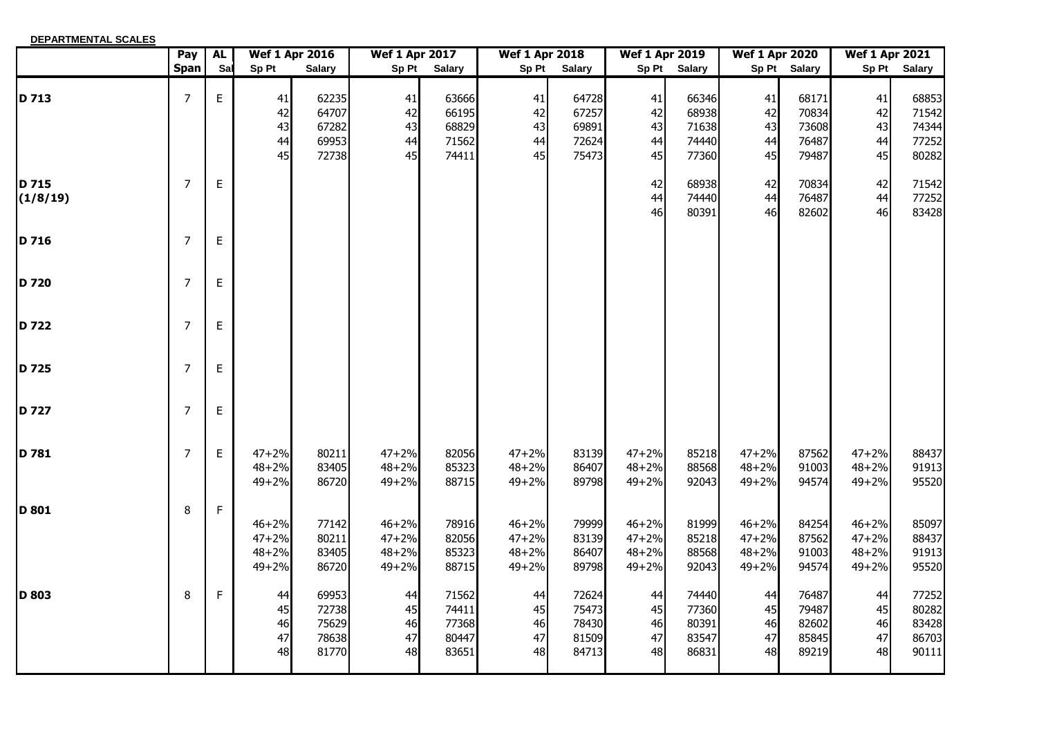| DEPARTMENTAL SCALES |                |             |                                                  |                                           |                                              |                                           |                                                  |                                           |                                              |                                           |                                                  |                                           |                                                  |                                           |
|---------------------|----------------|-------------|--------------------------------------------------|-------------------------------------------|----------------------------------------------|-------------------------------------------|--------------------------------------------------|-------------------------------------------|----------------------------------------------|-------------------------------------------|--------------------------------------------------|-------------------------------------------|--------------------------------------------------|-------------------------------------------|
|                     | Pay            | <b>AL</b>   |                                                  | <b>Wef 1 Apr 2016</b>                     | <b>Wef 1 Apr 2017</b>                        |                                           | <b>Wef 1 Apr 2018</b>                            |                                           | <b>Wef 1 Apr 2019</b>                        |                                           | <b>Wef 1 Apr 2020</b>                            |                                           | <b>Wef 1 Apr 2021</b>                            |                                           |
|                     | <b>Span</b>    | Sal         | Sp Pt                                            | <b>Salary</b>                             | Sp Pt                                        | <b>Salary</b>                             | Sp Pt                                            | <b>Salary</b>                             | Sp Pt                                        | Salary                                    |                                                  | Sp Pt Salary                              |                                                  | Sp Pt Salary                              |
| D 713               | $\overline{7}$ | $\mathsf E$ | 41<br>42<br>43<br>44<br>45                       | 62235<br>64707<br>67282<br>69953<br>72738 | 41<br>42<br>43<br>44<br>45                   | 63666<br>66195<br>68829<br>71562<br>74411 | 41<br>42<br>43<br>44<br>45                       | 64728<br>67257<br>69891<br>72624<br>75473 | 41<br>42<br>43<br>44<br>45                   | 66346<br>68938<br>71638<br>74440<br>77360 | 41<br>42<br>43<br>44<br>45                       | 68171<br>70834<br>73608<br>76487<br>79487 | 41<br>42<br>43<br>44<br>45                       | 68853<br>71542<br>74344<br>77252<br>80282 |
| D 715<br>(1/8/19)   | $\overline{7}$ | Е           |                                                  |                                           |                                              |                                           |                                                  |                                           | 42<br>44<br>46                               | 68938<br>74440<br>80391                   | 42<br>44<br>46                                   | 70834<br>76487<br>82602                   | 42<br>44<br>46                                   | 71542<br>77252<br>83428                   |
| D 716               | $\overline{7}$ | $\mathsf E$ |                                                  |                                           |                                              |                                           |                                                  |                                           |                                              |                                           |                                                  |                                           |                                                  |                                           |
| D 720               | $\overline{7}$ | $\mathsf E$ |                                                  |                                           |                                              |                                           |                                                  |                                           |                                              |                                           |                                                  |                                           |                                                  |                                           |
| D 722               | $\overline{7}$ | Е           |                                                  |                                           |                                              |                                           |                                                  |                                           |                                              |                                           |                                                  |                                           |                                                  |                                           |
| D 725               | $\overline{7}$ | $\mathsf E$ |                                                  |                                           |                                              |                                           |                                                  |                                           |                                              |                                           |                                                  |                                           |                                                  |                                           |
| D 727               | $\overline{7}$ | $\mathsf E$ |                                                  |                                           |                                              |                                           |                                                  |                                           |                                              |                                           |                                                  |                                           |                                                  |                                           |
| D 781               | $\overline{7}$ | $\mathsf E$ | $47 + 2%$<br>$48 + 2%$<br>$49 + 2%$              | 80211<br>83405<br>86720                   | $47 + 2%$<br>$48 + 2%$<br>$49 + 2%$          | 82056<br>85323<br>88715                   | $47 + 2%$<br>$48 + 2%$<br>$49 + 2%$              | 83139<br>86407<br>89798                   | $47 + 2%$<br>$48 + 2%$<br>49+2%              | 85218<br>88568<br>92043                   | $47 + 2%$<br>$48 + 2%$<br>$49 + 2%$              | 87562<br>91003<br>94574                   | $47 + 2%$<br>$48 + 2%$<br>$49 + 2%$              | 88437<br>91913<br>95520                   |
| <b>ID 801</b>       | 8              | $\mathsf F$ | $46 + 2%$<br>$47 + 2%$<br>$48 + 2%$<br>$49 + 2%$ | 77142<br>80211<br>83405<br>86720          | $46 + 2%$<br>$47 + 2%$<br>$48 + 2%$<br>49+2% | 78916<br>82056<br>85323<br>88715          | $46 + 2%$<br>$47 + 2%$<br>$48 + 2%$<br>$49 + 2%$ | 79999<br>83139<br>86407<br>89798          | $46 + 2%$<br>$47 + 2%$<br>$48 + 2%$<br>49+2% | 81999<br>85218<br>88568<br>92043          | $46 + 2%$<br>$47 + 2%$<br>$48 + 2%$<br>$49 + 2%$ | 84254<br>87562<br>91003<br>94574          | $46 + 2%$<br>$47 + 2%$<br>$48 + 2%$<br>$49 + 2%$ | 85097<br>88437<br>91913<br>95520          |
| D 803               | 8              | F           | 44<br>45<br>46<br>47<br>48                       | 69953<br>72738<br>75629<br>78638<br>81770 | 44<br>45<br>46<br>47<br>48                   | 71562<br>74411<br>77368<br>80447<br>83651 | 44<br>45<br>46<br>47<br>48                       | 72624<br>75473<br>78430<br>81509<br>84713 | 44<br>45<br>46<br>47<br>48                   | 74440<br>77360<br>80391<br>83547<br>86831 | 44<br>45<br>46<br>47<br>48                       | 76487<br>79487<br>82602<br>85845<br>89219 | 44<br>45<br>46<br>47<br>48                       | 77252<br>80282<br>83428<br>86703<br>90111 |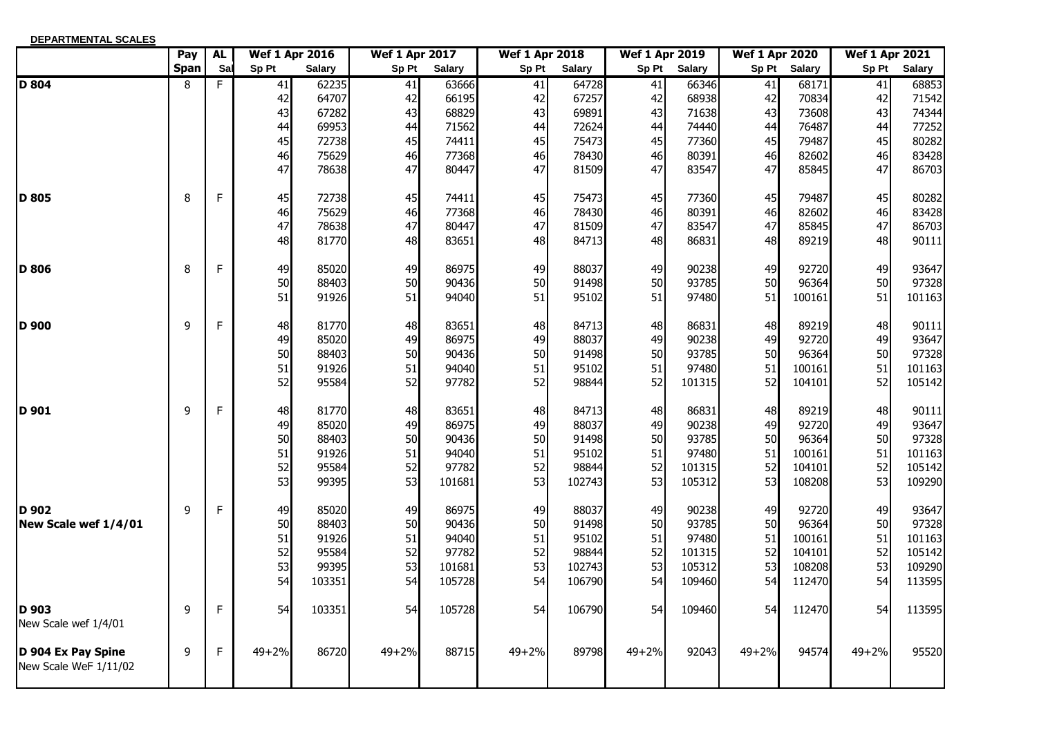| <b>DEPARTMENTAL SCALES</b>                  |             |             |           |                       |                       |               |                       |               |                       |               |                       |               |                       |               |
|---------------------------------------------|-------------|-------------|-----------|-----------------------|-----------------------|---------------|-----------------------|---------------|-----------------------|---------------|-----------------------|---------------|-----------------------|---------------|
|                                             | Pay         | <b>AL</b>   |           | <b>Wef 1 Apr 2016</b> | <b>Wef 1 Apr 2017</b> |               | <b>Wef 1 Apr 2018</b> |               | <b>Wef 1 Apr 2019</b> |               | <b>Wef 1 Apr 2020</b> |               | <b>Wef 1 Apr 2021</b> |               |
|                                             | <b>Span</b> | Sal         | Sp Pt     | <b>Salary</b>         | Sp Pt                 | <b>Salary</b> | Sp Pt                 | <b>Salary</b> | Sp Pt                 | <b>Salary</b> | Sp Pt                 | <b>Salary</b> | Sp Pt                 | <b>Salary</b> |
| $D$ 804                                     | 8           | F           | 41        | 62235                 | 41                    | 63666         | 41                    | 64728         | 41                    | 66346         | 41                    | 68171         | 41                    | 68853         |
|                                             |             |             | 42        | 64707                 | 42                    | 66195         | 42                    | 67257         | 42                    | 68938         | 42                    | 70834         | 42                    | 71542         |
|                                             |             |             | 43        | 67282                 | 43                    | 68829         | 43                    | 69891         | 43                    | 71638         | 43                    | 73608         | 43                    | 74344         |
|                                             |             |             | 44        | 69953                 | 44                    | 71562         | 44                    | 72624         | 44                    | 74440         | 44                    | 76487         | 44                    | 77252         |
|                                             |             |             | 45        | 72738                 | 45                    | 74411         | 45                    | 75473         | 45                    | 77360         | 45                    | 79487         | 45                    | 80282         |
|                                             |             |             | 46        | 75629                 | 46                    | 77368         | 46                    | 78430         | 46                    | 80391         | 46                    | 82602         | 46                    | 83428         |
|                                             |             |             | 47        | 78638                 | 47                    | 80447         | 47                    | 81509         | 47                    | 83547         | 47                    | 85845         | 47                    | 86703         |
| D 805                                       | 8           | $\mathsf F$ | 45        | 72738                 | 45                    | 74411         | 45                    | 75473         | 45                    | 77360         | 45                    | 79487         | 45                    | 80282         |
|                                             |             |             | 46        | 75629                 | 46                    | 77368         | 46                    | 78430         | 46                    | 80391         | 46                    | 82602         | 46                    | 83428         |
|                                             |             |             | 47        | 78638                 | 47                    | 80447         | 47                    | 81509         | 47                    | 83547         | 47                    | 85845         | 47                    | 86703         |
|                                             |             |             | 48        | 81770                 | 48                    | 83651         | 48                    | 84713         | 48                    | 86831         | 48                    | 89219         | 48                    | 90111         |
| <b>D</b> 806                                | 8           | F           | 49        | 85020                 | 49                    | 86975         | 49                    | 88037         | 49                    | 90238         | 49                    | 92720         | 49                    | 93647         |
|                                             |             |             | 50        | 88403                 | 50                    | 90436         | 50                    | 91498         | 50                    | 93785         | 50                    | 96364         | 50                    | 97328         |
|                                             |             |             | 51        | 91926                 | 51                    | 94040         | 51                    | 95102         | 51                    | 97480         | 51                    | 100161        | 51                    | 101163        |
| D 900                                       | 9           | $\mathsf F$ | 48        | 81770                 | 48                    | 83651         | 48                    | 84713         | 48                    | 86831         | 48                    | 89219         | 48                    | 90111         |
|                                             |             |             | 49        | 85020                 | 49                    | 86975         | 49                    | 88037         | 49                    | 90238         | 49                    | 92720         | 49                    | 93647         |
|                                             |             |             | 50        | 88403                 | 50                    | 90436         | 50                    | 91498         | 50                    | 93785         | 50                    | 96364         | 50                    | 97328         |
|                                             |             |             | 51        | 91926                 | 51                    | 94040         | 51                    | 95102         | 51                    | 97480         | 51                    | 100161        | 51                    | 101163        |
|                                             |             |             | 52        | 95584                 | 52                    | 97782         | 52                    | 98844         | 52                    | 101315        | 52                    | 104101        | 52                    | 105142        |
| D 901                                       | 9           | F           | 48        | 81770                 | 48                    | 83651         | 48                    | 84713         | 48                    | 86831         | 48                    | 89219         | 48                    | 90111         |
|                                             |             |             | 49        | 85020                 | 49                    | 86975         | 49                    | 88037         | 49                    | 90238         | 49                    | 92720         | 49                    | 93647         |
|                                             |             |             | 50        | 88403                 | 50                    | 90436         | 50                    | 91498         | 50                    | 93785         | 50                    | 96364         | 50                    | 97328         |
|                                             |             |             | 51        | 91926                 | 51                    | 94040         | 51                    | 95102         | 51                    | 97480         | 51                    | 100161        | 51                    | 101163        |
|                                             |             |             | 52        | 95584                 | 52                    | 97782         | 52                    | 98844         | 52                    | 101315        | 52                    | 104101        | 52                    | 105142        |
|                                             |             |             | 53        | 99395                 | 53                    | 101681        | 53                    | 102743        | 53                    | 105312        | 53                    | 108208        | 53                    | 109290        |
| D 902                                       | 9           | F           | 49        | 85020                 | 49                    | 86975         | 49                    | 88037         | 49                    | 90238         | 49                    | 92720         | 49                    | 93647         |
| New Scale wef 1/4/01                        |             |             | 50        | 88403                 | 50                    | 90436         | 50                    | 91498         | 50                    | 93785         | 50                    | 96364         | 50                    | 97328         |
|                                             |             |             | 51        | 91926                 | 51                    | 94040         | 51                    | 95102         | 51                    | 97480         | 51                    | 100161        | 51                    | 101163        |
|                                             |             |             | 52        | 95584                 | 52                    | 97782         | 52                    | 98844         | 52                    | 101315        | 52                    | 104101        | 52                    | 105142        |
|                                             |             |             | 53        | 99395                 | 53                    | 101681        | 53                    | 102743        | 53                    | 105312        | 53                    | 108208        | 53                    | 109290        |
|                                             |             |             | 54        | 103351                | 54                    | 105728        | 54                    | 106790        | 54                    | 109460        | 54                    | 112470        | 54                    | 113595        |
| D 903<br>New Scale wef 1/4/01               | 9           | F           | 54        | 103351                | 54                    | 105728        | 54                    | 106790        | 54                    | 109460        | 54                    | 112470        | 54                    | 113595        |
| D 904 Ex Pay Spine<br>New Scale WeF 1/11/02 | 9           | $\mathsf F$ | $49 + 2%$ | 86720                 | $49 + 2%$             | 88715         | 49+2%                 | 89798         | $49 + 2%$             | 92043         | $49 + 2%$             | 94574         | $49 + 2%$             | 95520         |